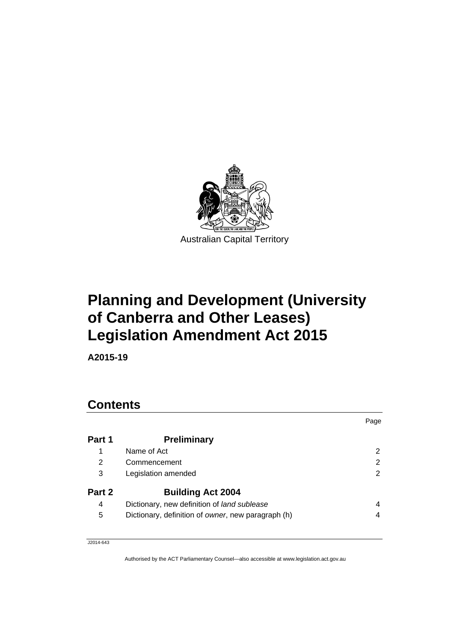

# **Planning and Development (University of Canberra and Other Leases) Legislation Amendment Act 2015**

**A2015-19** 

### **Contents**

|        |                                                    | Page |
|--------|----------------------------------------------------|------|
| Part 1 | <b>Preliminary</b>                                 |      |
| 1      | Name of Act                                        |      |
| 2      | Commencement                                       | 2    |
| 3      | Legislation amended                                | 2    |
| Part 2 | <b>Building Act 2004</b>                           |      |
| 4      | Dictionary, new definition of land sublease        | 4    |
| 5      | Dictionary, definition of owner, new paragraph (h) | 4    |
|        |                                                    |      |

J2014-643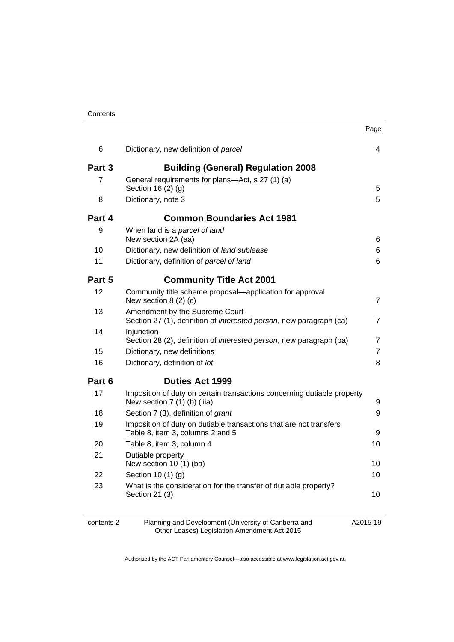| Contents |
|----------|
|----------|

|        |                                                                                                         | Page           |
|--------|---------------------------------------------------------------------------------------------------------|----------------|
| 6      | Dictionary, new definition of parcel                                                                    | 4              |
| Part 3 | <b>Building (General) Regulation 2008</b>                                                               |                |
| 7      | General requirements for plans-Act, s 27 (1) (a)<br>Section 16 (2) (g)                                  | 5              |
| 8      | Dictionary, note 3                                                                                      | 5              |
| Part 4 | <b>Common Boundaries Act 1981</b>                                                                       |                |
| 9      | When land is a parcel of land<br>New section 2A (aa)                                                    | 6              |
| 10     | Dictionary, new definition of land sublease                                                             | 6              |
| 11     |                                                                                                         | 6              |
|        | Dictionary, definition of parcel of land                                                                |                |
| Part 5 | <b>Community Title Act 2001</b>                                                                         |                |
| 12     | Community title scheme proposal—application for approval<br>New section $8(2)(c)$                       | $\overline{7}$ |
| 13     | Amendment by the Supreme Court<br>Section 27 (1), definition of interested person, new paragraph (ca)   | $\overline{7}$ |
| 14     | Injunction<br>Section 28 (2), definition of <i>interested person</i> , new paragraph (ba)               | $\overline{7}$ |
| 15     | Dictionary, new definitions                                                                             | $\overline{7}$ |
| 16     | Dictionary, definition of lot                                                                           | 8              |
| Part 6 | <b>Duties Act 1999</b>                                                                                  |                |
| 17     | Imposition of duty on certain transactions concerning dutiable property<br>New section 7 (1) (b) (iiia) | 9              |
| 18     | Section 7 (3), definition of grant                                                                      | 9              |
| 19     | Imposition of duty on dutiable transactions that are not transfers<br>Table 8, item 3, columns 2 and 5  | 9              |
| 20     | Table 8, item 3, column 4                                                                               | 10             |
| 21     | Dutiable property<br>New section 10 (1) (ba)                                                            | 10             |
| 22     | Section 10 (1) (g)                                                                                      | 10             |
| 23     | What is the consideration for the transfer of dutiable property?<br>Section 21 (3)                      | 10             |

| contents 2 |  |
|------------|--|
|------------|--|

contents 2 Planning and Development (University of Canberra and Other Leases) Legislation Amendment Act 2015

A2015-19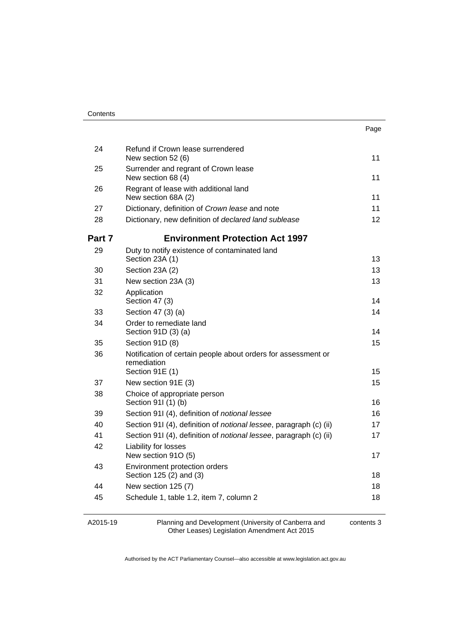| Contents |
|----------|
|----------|

| 24     | Refund if Crown lease surrendered<br>New section 52 (6)                                         | 11 |
|--------|-------------------------------------------------------------------------------------------------|----|
| 25     | Surrender and regrant of Crown lease<br>New section 68 (4)                                      | 11 |
| 26     | Regrant of lease with additional land<br>New section 68A (2)                                    | 11 |
| 27     | Dictionary, definition of Crown lease and note                                                  | 11 |
| 28     | Dictionary, new definition of declared land sublease                                            | 12 |
| Part 7 | <b>Environment Protection Act 1997</b>                                                          |    |
| 29     | Duty to notify existence of contaminated land<br>Section 23A (1)                                | 13 |
| 30     | Section 23A (2)                                                                                 | 13 |
| 31     | New section 23A (3)                                                                             | 13 |
| 32     | Application<br>Section 47 (3)                                                                   | 14 |
| 33     | Section 47 (3) (a)                                                                              | 14 |
| 34     | Order to remediate land<br>Section 91D (3) (a)                                                  | 14 |
| 35     | Section 91D (8)                                                                                 | 15 |
| 36     | Notification of certain people about orders for assessment or<br>remediation<br>Section 91E (1) | 15 |
| 37     | New section 91E (3)                                                                             | 15 |
| 38     | Choice of appropriate person<br>Section 911 (1) (b)                                             | 16 |
| 39     | Section 91I (4), definition of notional lessee                                                  | 16 |
| 40     | Section 91I (4), definition of <i>notional lessee</i> , paragraph (c) (ii)                      | 17 |
| 41     | Section 91I (4), definition of <i>notional lessee</i> , paragraph (c) (ii)                      | 17 |
| 42     | Liability for losses<br>New section 91O (5)                                                     | 17 |
| 43     | Environment protection orders<br>Section 125 (2) and (3)                                        | 18 |
| 44     | New section 125 (7)                                                                             | 18 |
| 45     | Schedule 1, table 1.2, item 7, column 2                                                         | 18 |
|        |                                                                                                 |    |

A2015-19

Planning and Development (University of Canberra and Other Leases) Legislation Amendment Act 2015

contents 3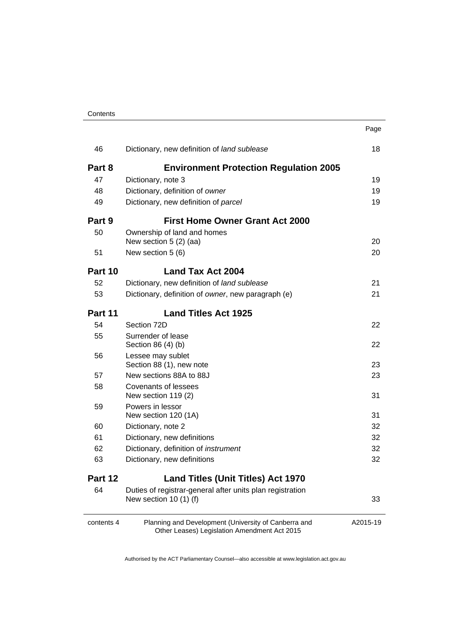| Contents |
|----------|
|----------|

|         |                                                                                      | Page |
|---------|--------------------------------------------------------------------------------------|------|
| 46      | Dictionary, new definition of land sublease                                          | 18   |
| Part 8  | <b>Environment Protection Regulation 2005</b>                                        |      |
| 47      | Dictionary, note 3                                                                   | 19   |
| 48      | Dictionary, definition of owner                                                      | 19   |
| 49      | Dictionary, new definition of parcel                                                 | 19   |
| Part 9  | <b>First Home Owner Grant Act 2000</b>                                               |      |
| 50      | Ownership of land and homes                                                          |      |
|         | New section 5 (2) (aa)                                                               | 20   |
| 51      | New section 5 (6)                                                                    | 20   |
| Part 10 | <b>Land Tax Act 2004</b>                                                             |      |
| 52      | Dictionary, new definition of land sublease                                          | 21   |
| 53      | Dictionary, definition of owner, new paragraph (e)                                   | 21   |
| Part 11 | <b>Land Titles Act 1925</b>                                                          |      |
| 54      | Section 72D                                                                          | 22   |
| 55      | Surrender of lease<br>Section 86 (4) (b)                                             | 22   |
| 56      | Lessee may sublet                                                                    |      |
|         | Section 88 (1), new note                                                             | 23   |
| 57      | New sections 88A to 88J                                                              | 23   |
| 58      | <b>Covenants of lessees</b><br>New section 119 (2)                                   | 31   |
| 59      | Powers in lessor<br>New section 120 (1A)                                             | 31   |
| 60      | Dictionary, note 2                                                                   | 32   |
| 61      | Dictionary, new definitions                                                          | 32   |
| 62      | Dictionary, definition of instrument                                                 | 32   |
| 63      | Dictionary, new definitions                                                          | 32   |
| Part 12 | <b>Land Titles (Unit Titles) Act 1970</b>                                            |      |
| 64      | Duties of registrar-general after units plan registration<br>New section $10(1)$ (f) | 33   |

Authorised by the ACT Parliamentary Counsel—also accessible at www.legislation.act.gov.au

A2015-19

Other Leases) Legislation Amendment Act 2015

contents 4 Planning and Development (University of Canberra and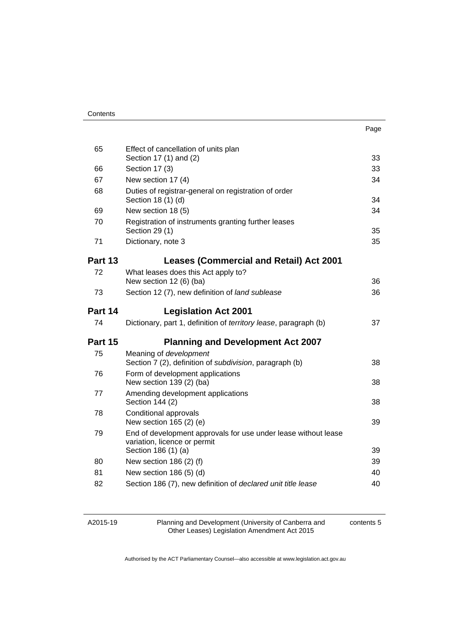| Contents |
|----------|
|----------|

| ×<br>. .<br>۰.<br>× |
|---------------------|
|---------------------|

| 65       | Effect of cancellation of units plan<br>Section 17 (1) and (2)                                 | 33       |
|----------|------------------------------------------------------------------------------------------------|----------|
| 66       | Section 17 (3)                                                                                 | 33       |
| 67       | New section 17 (4)                                                                             | 34       |
| 68       | Duties of registrar-general on registration of order<br>Section 18 (1) (d)                     | 34       |
| 69       | New section 18 (5)                                                                             | 34       |
| 70       | Registration of instruments granting further leases<br>Section 29 (1)                          | 35       |
| 71       | Dictionary, note 3                                                                             | 35       |
| Part 13  | <b>Leases (Commercial and Retail) Act 2001</b>                                                 |          |
| 72       | What leases does this Act apply to?<br>New section 12 (6) (ba)                                 | 36       |
| 73       | Section 12 (7), new definition of land sublease                                                | 36       |
| Part 14  | <b>Legislation Act 2001</b>                                                                    |          |
| 74       | Dictionary, part 1, definition of territory lease, paragraph (b)                               | 37       |
|          |                                                                                                |          |
| Part 15  | <b>Planning and Development Act 2007</b>                                                       |          |
| 75       | Meaning of development<br>Section 7 (2), definition of <i>subdivision</i> , paragraph (b)      | 38       |
| 76       | Form of development applications<br>New section 139 (2) (ba)                                   | 38       |
| 77       | Amending development applications<br>Section 144 (2)                                           | 38       |
| 78       | Conditional approvals<br>New section 165 (2) (e)                                               | 39       |
| 79       | End of development approvals for use under lease without lease<br>variation, licence or permit |          |
|          | Section 186 (1) (a)                                                                            | 39       |
| 80       | New section 186 (2) (f)                                                                        | 39       |
| 81<br>82 | New section 186 (5) (d)<br>Section 186 (7), new definition of declared unit title lease        | 40<br>40 |

| A2015-19 |  |
|----------|--|
|----------|--|

Planning and Development (University of Canberra and Other Leases) Legislation Amendment Act 2015

contents 5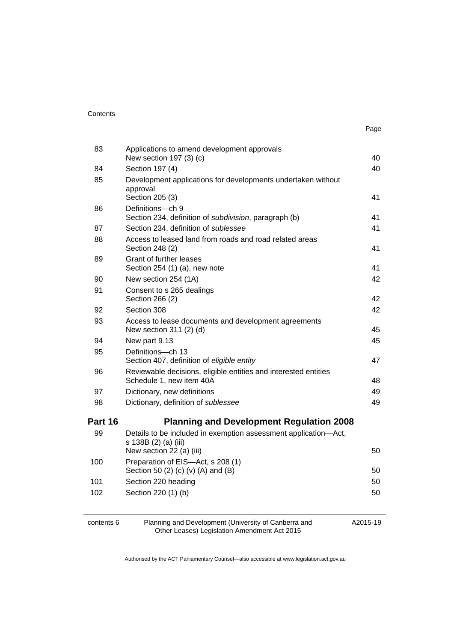| 83      | Applications to amend development approvals<br>New section 197 (3) (c)                      | 40 |
|---------|---------------------------------------------------------------------------------------------|----|
| 84      | Section 197 (4)                                                                             | 40 |
| 85      | Development applications for developments undertaken without<br>approval<br>Section 205 (3) | 41 |
| 86      | Definitions-ch 9<br>Section 234, definition of subdivision, paragraph (b)                   | 41 |
| 87      | Section 234, definition of sublessee                                                        | 41 |
| 88      | Access to leased land from roads and road related areas<br>Section 248 (2)                  | 41 |
| 89      | Grant of further leases<br>Section 254 (1) (a), new note                                    | 41 |
| 90      | New section 254 (1A)                                                                        | 42 |
| 91      | Consent to s 265 dealings<br>Section 266 (2)                                                | 42 |
| 92      | Section 308                                                                                 | 42 |
| 93      | Access to lease documents and development agreements<br>New section 311 (2) (d)             | 45 |
| 94      | New part 9.13                                                                               | 45 |
| 95      | Definitions-ch 13<br>Section 407, definition of eligible entity                             | 47 |
| 96      | Reviewable decisions, eligible entities and interested entities<br>Schedule 1, new item 40A | 48 |
| 97      | Dictionary, new definitions                                                                 | 49 |
| 98      | Dictionary, definition of sublessee                                                         | 49 |
| Part 16 | <b>Planning and Development Regulation 2008</b>                                             |    |
| 99      | Details to be included in exemption assessment application-Act,<br>s 138B (2) (a) (iii)     |    |
|         | New section 22 (a) (iii)<br>Preparation of EIS-Act, s 208 (1)                               | 50 |
| 100     | Section 50 (2) (c) (v) (A) and (B)                                                          | 50 |
| 101     | Section 220 heading                                                                         | 50 |
| 102     | Section 220 (1) (b)                                                                         | 50 |
|         |                                                                                             |    |

contents 6 Planning and Development (University of Canberra and Other Leases) Legislation Amendment Act 2015

A2015-19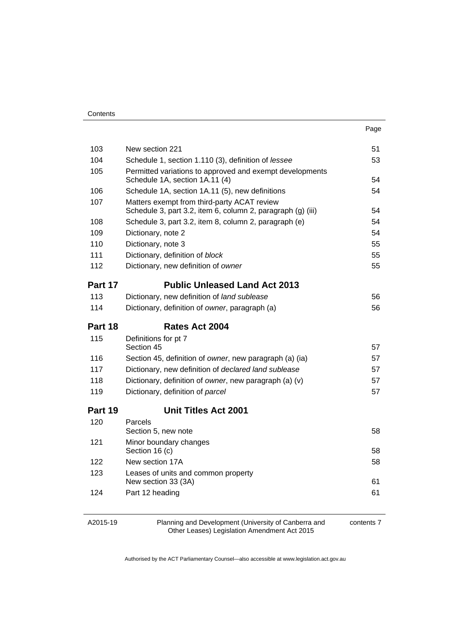| Contents |
|----------|
|----------|

| ×<br>. .<br>۰.<br>× |
|---------------------|
|---------------------|

| 103     | New section 221                                                                                            | 51 |
|---------|------------------------------------------------------------------------------------------------------------|----|
| 104     | Schedule 1, section 1.110 (3), definition of lessee                                                        | 53 |
| 105     | Permitted variations to approved and exempt developments<br>Schedule 1A, section 1A.11 (4)                 | 54 |
| 106     | Schedule 1A, section 1A.11 (5), new definitions                                                            | 54 |
| 107     | Matters exempt from third-party ACAT review<br>Schedule 3, part 3.2, item 6, column 2, paragraph (g) (iii) | 54 |
| 108     | Schedule 3, part 3.2, item 8, column 2, paragraph (e)                                                      | 54 |
| 109     | Dictionary, note 2                                                                                         | 54 |
| 110     | Dictionary, note 3                                                                                         | 55 |
| 111     | Dictionary, definition of block                                                                            | 55 |
| 112     | Dictionary, new definition of owner                                                                        | 55 |
| Part 17 | <b>Public Unleased Land Act 2013</b>                                                                       |    |
| 113     | Dictionary, new definition of land sublease                                                                | 56 |
| 114     | Dictionary, definition of owner, paragraph (a)                                                             | 56 |
| Part 18 | Rates Act 2004                                                                                             |    |
|         |                                                                                                            |    |
| 115     | Definitions for pt 7<br>Section 45                                                                         | 57 |
| 116     | Section 45, definition of owner, new paragraph (a) (ia)                                                    | 57 |
| 117     | Dictionary, new definition of declared land sublease                                                       | 57 |
| 118     | Dictionary, definition of owner, new paragraph (a) (v)                                                     | 57 |
| 119     | Dictionary, definition of parcel                                                                           | 57 |
| Part 19 | <b>Unit Titles Act 2001</b>                                                                                |    |
| 120     | Parcels<br>Section 5, new note                                                                             | 58 |
| 121     | Minor boundary changes<br>Section 16 (c)                                                                   | 58 |
| 122     | New section 17A                                                                                            | 58 |
| 123     | Leases of units and common property<br>New section 33 (3A)                                                 | 61 |
| 124     | Part 12 heading                                                                                            | 61 |

| A2015-19 |  |
|----------|--|
|----------|--|

Planning and Development (University of Canberra and Other Leases) Legislation Amendment Act 2015

contents 7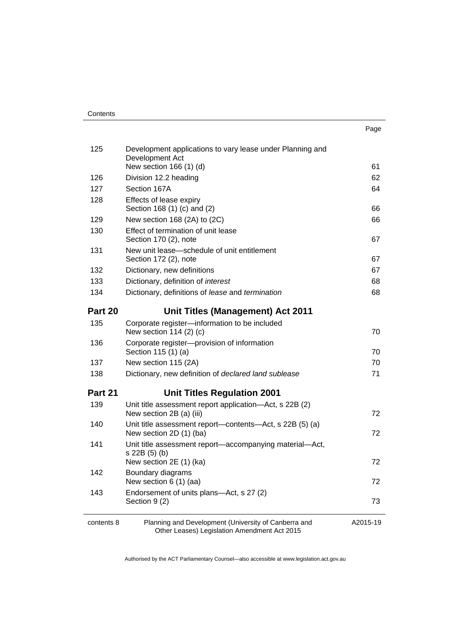| 125        | Development applications to vary lease under Planning and<br>Development Act                         |          |
|------------|------------------------------------------------------------------------------------------------------|----------|
|            | New section 166 (1) (d)                                                                              | 61       |
| 126        | Division 12.2 heading                                                                                | 62       |
| 127        | Section 167A                                                                                         | 64       |
| 128        | Effects of lease expiry<br>Section 168 (1) (c) and (2)                                               | 66       |
| 129        | New section 168 (2A) to (2C)                                                                         | 66       |
| 130        | Effect of termination of unit lease<br>Section 170 (2), note                                         | 67       |
| 131        | New unit lease-schedule of unit entitlement<br>Section 172 (2), note                                 | 67       |
| 132        | Dictionary, new definitions                                                                          | 67       |
| 133        | Dictionary, definition of interest                                                                   | 68       |
| 134        | Dictionary, definitions of lease and termination                                                     | 68       |
| Part 20    | <b>Unit Titles (Management) Act 2011</b>                                                             |          |
| 135        | Corporate register-information to be included<br>New section 114 (2) (c)                             | 70       |
| 136        | Corporate register-provision of information<br>Section 115 (1) (a)                                   | 70       |
| 137        | New section 115 (2A)                                                                                 | 70       |
| 138        | Dictionary, new definition of declared land sublease                                                 | 71       |
| Part 21    | <b>Unit Titles Regulation 2001</b>                                                                   |          |
| 139        | Unit title assessment report application-Act, s 22B (2)<br>New section 2B (a) (iii)                  | 72       |
| 140        | Unit title assessment report—contents—Act, s 22B (5) (a)<br>New section 2D (1) (ba)                  | 72       |
| 141        | Unit title assessment report—accompanying material—Act,<br>s 22B (5) (b)<br>New section 2E (1) (ka)  | 72       |
| 142        | Boundary diagrams<br>New section 6 (1) (aa)                                                          | 72       |
| 143        | Endorsement of units plans-Act, s 27 (2)<br>Section 9 (2)                                            | 73       |
| contents 8 | Planning and Development (University of Canberra and<br>Other Leases) Legislation Amendment Act 2015 | A2015-19 |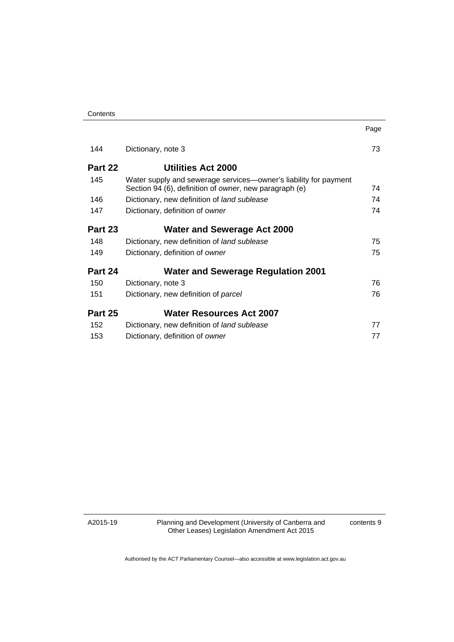| Contents |
|----------|
|----------|

| 144     | Dictionary, note 3                                                                                                         | 73 |
|---------|----------------------------------------------------------------------------------------------------------------------------|----|
| Part 22 | Utilities Act 2000                                                                                                         |    |
| 145     | Water supply and sewerage services-owner's liability for payment<br>Section 94 (6), definition of owner, new paragraph (e) | 74 |
| 146     | Dictionary, new definition of land sublease                                                                                | 74 |
| 147     | Dictionary, definition of owner                                                                                            | 74 |
| Part 23 | <b>Water and Sewerage Act 2000</b>                                                                                         |    |
| 148     | Dictionary, new definition of land sublease                                                                                | 75 |
| 149     | Dictionary, definition of owner                                                                                            | 75 |
| Part 24 | <b>Water and Sewerage Regulation 2001</b>                                                                                  |    |
| 150     | Dictionary, note 3                                                                                                         | 76 |
| 151     | Dictionary, new definition of parcel                                                                                       | 76 |
| Part 25 | <b>Water Resources Act 2007</b>                                                                                            |    |
| 152     | Dictionary, new definition of land sublease                                                                                | 77 |
| 153     | Dictionary, definition of owner                                                                                            | 77 |

A2015-19

Planning and Development (University of Canberra and Other Leases) Legislation Amendment Act 2015

contents 9

Page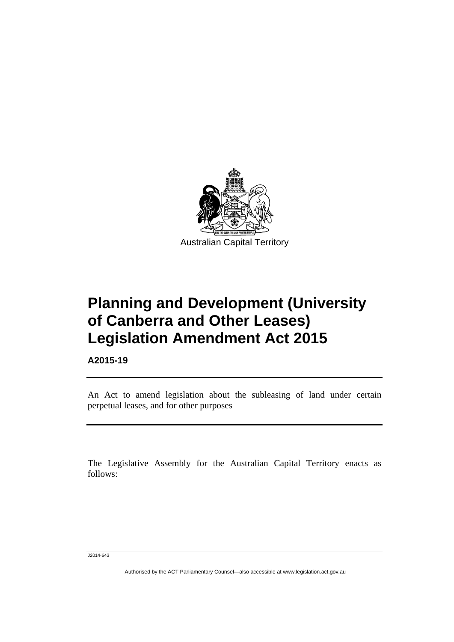

# **Planning and Development (University of Canberra and Other Leases) Legislation Amendment Act 2015**

**A2015-19** 

l

An Act to amend legislation about the subleasing of land under certain perpetual leases, and for other purposes

The Legislative Assembly for the Australian Capital Territory enacts as follows:

J2014-643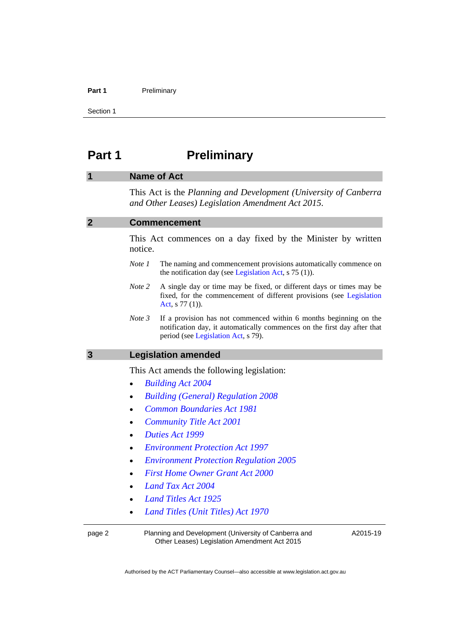#### Part 1 **Preliminary**

Section 1

## <span id="page-11-0"></span>**Part 1** Preliminary

#### <span id="page-11-1"></span>**1 Name of Act**

This Act is the *Planning and Development (University of Canberra and Other Leases) Legislation Amendment Act 2015*.

<span id="page-11-3"></span><span id="page-11-2"></span>

| $\overline{2}$ | <b>Commencement</b>                                                                                                                                                                            |  |
|----------------|------------------------------------------------------------------------------------------------------------------------------------------------------------------------------------------------|--|
|                | This Act commences on a day fixed by the Minister by written<br>notice.                                                                                                                        |  |
|                | Note 1<br>The naming and commencement provisions automatically commence on<br>the notification day (see Legislation Act, $s$ 75 (1)).                                                          |  |
|                | A single day or time may be fixed, or different days or times may be<br>Note 2<br>fixed, for the commencement of different provisions (see Legislation<br>Act, $s$ 77 (1)).                    |  |
|                | Note 3<br>If a provision has not commenced within 6 months beginning on the<br>notification day, it automatically commences on the first day after that<br>period (see Legislation Act, s 79). |  |
| $\overline{3}$ | <b>Legislation amended</b>                                                                                                                                                                     |  |
|                | This Act amends the following legislation:                                                                                                                                                     |  |
|                | <b>Building Act 2004</b><br>$\bullet$                                                                                                                                                          |  |
|                | <b>Building (General) Regulation 2008</b><br>$\bullet$                                                                                                                                         |  |
|                | <b>Common Boundaries Act 1981</b><br>$\bullet$                                                                                                                                                 |  |
|                | <b>Community Title Act 2001</b><br>$\bullet$                                                                                                                                                   |  |
|                | Duties Act 1999<br>$\bullet$                                                                                                                                                                   |  |
|                | <b>Environment Protection Act 1997</b>                                                                                                                                                         |  |
|                | <b>Environment Protection Regulation 2005</b>                                                                                                                                                  |  |
|                | <b>First Home Owner Grant Act 2000</b>                                                                                                                                                         |  |
|                | Land Tax Act 2004                                                                                                                                                                              |  |
|                | <b>Land Titles Act 1925</b>                                                                                                                                                                    |  |
|                | Land Titles (Unit Titles) Act 1970                                                                                                                                                             |  |
| page 2         | Planning and Development (University of Canberra and<br>A2015-19<br>Other Leases) Legislation Amendment Act 2015                                                                               |  |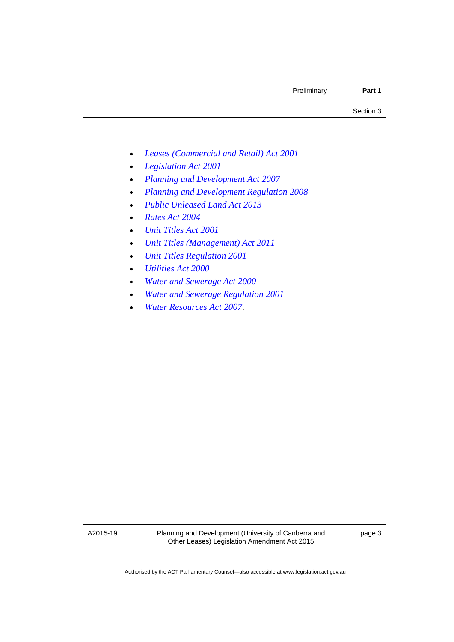- *[Leases \(Commercial and Retail\) Act 2001](http://www.legislation.act.gov.au/a/2001-18)*
- *[Legislation Act 2001](http://www.legislation.act.gov.au/a/2001-14)*
- *[Planning and Development Act 2007](http://www.legislation.act.gov.au/a/2007-24)*
- *[Planning and Development Regulation 2008](http://www.legislation.act.gov.au/sl/2008-2)*
- *[Public Unleased Land Act 2013](http://www.legislation.act.gov.au/a/2013-3)*
- *[Rates Act 2004](http://www.legislation.act.gov.au/a/2004-3)*
- *[Unit Titles Act 2001](http://www.legislation.act.gov.au/a/2001-16)*
- *[Unit Titles \(Management\) Act 2011](http://www.legislation.act.gov.au/a/2011-41)*
- *[Unit Titles Regulation 2001](http://www.legislation.act.gov.au/sl/2001-15)*
- *[Utilities Act 2000](http://www.legislation.act.gov.au/a/2000-65)*
- *[Water and Sewerage Act 2000](http://www.legislation.act.gov.au/a/2000-68)*
- *[Water and Sewerage Regulation 2001](http://www.legislation.act.gov.au/sl/2001-2)*
- *[Water Resources Act 2007](http://www.legislation.act.gov.au/a/2007-19)*.

A2015-19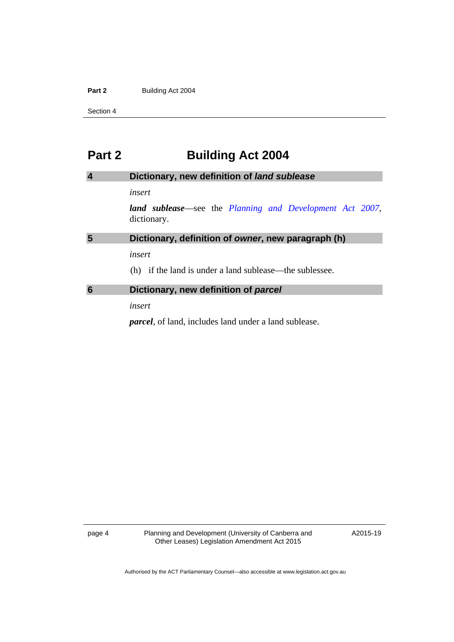#### Part 2 **Building Act 2004**

Section 4

### <span id="page-13-0"></span>**Part 2 Building Act 2004**

<span id="page-13-2"></span><span id="page-13-1"></span>

| $\overline{4}$ | Dictionary, new definition of land sublease                                     |
|----------------|---------------------------------------------------------------------------------|
|                | insert                                                                          |
|                | <b>land sublease</b> —see the Planning and Development Act 2007,<br>dictionary. |
| 5              | Dictionary, definition of owner, new paragraph (h)                              |
|                | insert                                                                          |
|                | if the land is under a land sublease—the sublessee.<br>(h)                      |
| 6              | Dictionary, new definition of parcel                                            |
|                | insert                                                                          |

<span id="page-13-3"></span>*parcel*, of land, includes land under a land sublease.

page 4 Planning and Development (University of Canberra and Other Leases) Legislation Amendment Act 2015

A2015-19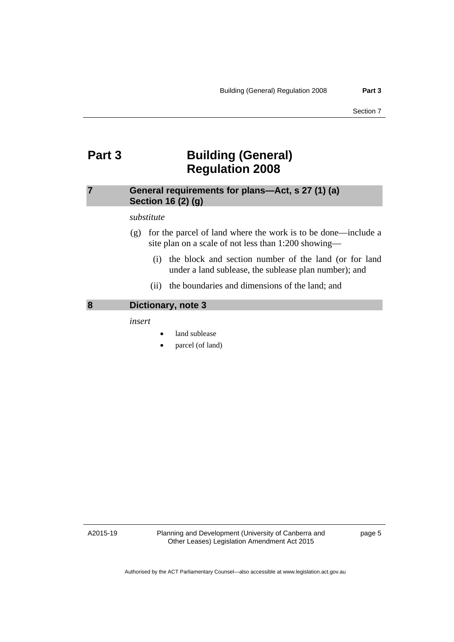### <span id="page-14-0"></span>**Part 3 Building (General) Regulation 2008**

#### <span id="page-14-1"></span>**7 General requirements for plans—Act, s 27 (1) (a) Section 16 (2) (g)**

#### *substitute*

- (g) for the parcel of land where the work is to be done—include a site plan on a scale of not less than 1:200 showing—
	- (i) the block and section number of the land (or for land under a land sublease, the sublease plan number); and
	- (ii) the boundaries and dimensions of the land; and

#### <span id="page-14-2"></span>**8 Dictionary, note 3**

*insert* 

- land sublease
- parcel (of land)

A2015-19

Planning and Development (University of Canberra and Other Leases) Legislation Amendment Act 2015

page 5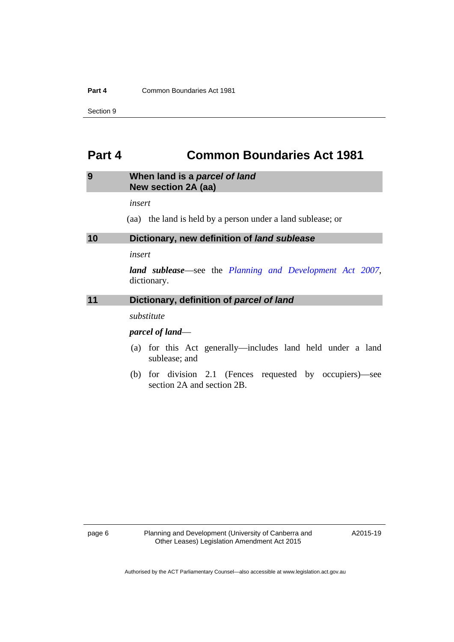#### **Part 4 Common Boundaries Act 1981**

Section 9

### <span id="page-15-0"></span>**Part 4 Common Boundaries Act 1981**

#### <span id="page-15-1"></span>**9 When land is a** *parcel of land*  **New section 2A (aa)**

*insert* 

(aa) the land is held by a person under a land sublease; or

<span id="page-15-2"></span>**10 Dictionary, new definition of** *land sublease*

*insert* 

*land sublease*—see the *[Planning and Development Act 2007](http://www.legislation.act.gov.au/a/2007-24)*, dictionary.

#### <span id="page-15-3"></span>**11 Dictionary, definition of** *parcel of land*

*substitute* 

#### *parcel of land*—

- (a) for this Act generally—includes land held under a land sublease; and
- (b) for division 2.1 (Fences requested by occupiers)—see section 2A and section 2B.

A2015-19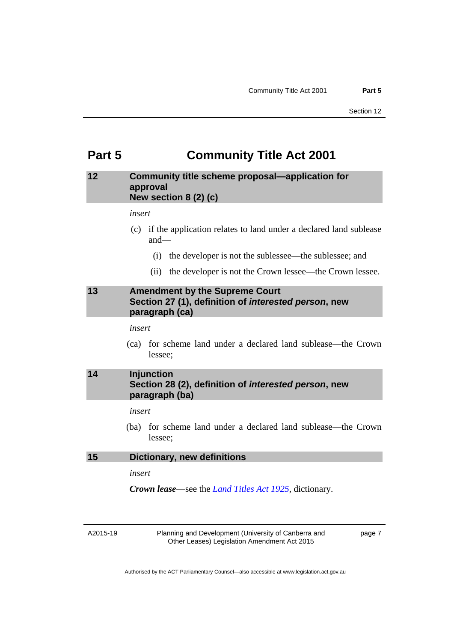### <span id="page-16-0"></span>**Part 5 Community Title Act 2001**

#### <span id="page-16-1"></span>**12 Community title scheme proposal—application for approval New section 8 (2) (c)**

*insert* 

- (c) if the application relates to land under a declared land sublease and—
	- (i) the developer is not the sublessee—the sublessee; and
	- (ii) the developer is not the Crown lessee—the Crown lessee.

#### <span id="page-16-2"></span>**13 Amendment by the Supreme Court Section 27 (1), definition of** *interested person***, new paragraph (ca)**

#### *insert*

 (ca) for scheme land under a declared land sublease—the Crown lessee;

### <span id="page-16-3"></span>**14 Injunction Section 28 (2), definition of** *interested person***, new paragraph (ba)**

#### *insert*

 (ba) for scheme land under a declared land sublease—the Crown lessee;

#### <span id="page-16-4"></span>**15 Dictionary, new definitions**

#### *insert*

*Crown lease*—see the *[Land Titles Act 1925](http://www.legislation.act.gov.au/a/1925-1)*, dictionary.

A2015-19

Planning and Development (University of Canberra and Other Leases) Legislation Amendment Act 2015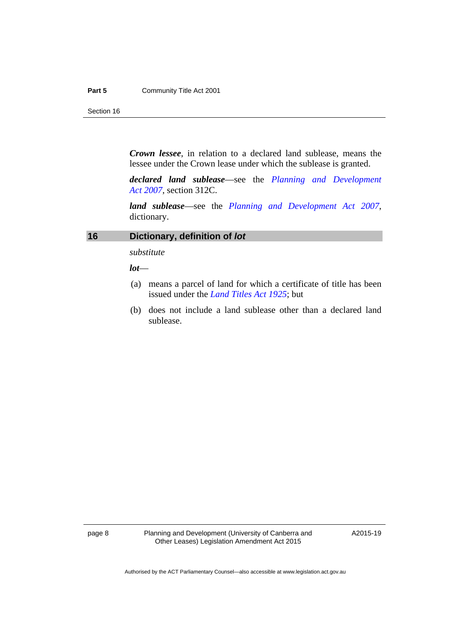#### **Part 5 Community Title Act 2001**

Section 16

*Crown lessee*, in relation to a declared land sublease, means the lessee under the Crown lease under which the sublease is granted.

*declared land sublease*—see the *[Planning and Development](http://www.legislation.act.gov.au/a/2007-24)  [Act 2007](http://www.legislation.act.gov.au/a/2007-24)*, section 312C.

*land sublease*—see the *[Planning and Development Act 2007](http://www.legislation.act.gov.au/a/2007-24)*, dictionary.

#### <span id="page-17-0"></span>**16 Dictionary, definition of** *lot*

*substitute* 

*lot*—

- (a) means a parcel of land for which a certificate of title has been issued under the *[Land Titles Act 1925](http://www.legislation.act.gov.au/a/1925-1)*; but
- (b) does not include a land sublease other than a declared land sublease.

page 8 Planning and Development (University of Canberra and Other Leases) Legislation Amendment Act 2015

A2015-19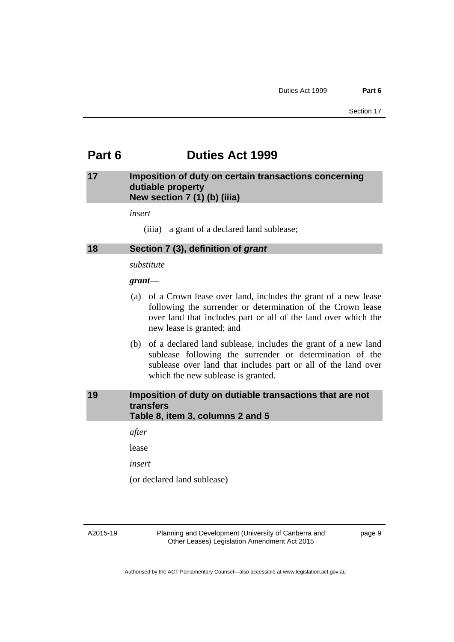### <span id="page-18-0"></span>**Part 6 Duties Act 1999**

#### <span id="page-18-1"></span>**17 Imposition of duty on certain transactions concerning dutiable property New section 7 (1) (b) (iiia)**

*insert* 

(iiia) a grant of a declared land sublease;

<span id="page-18-2"></span>

| 18 | Section 7 (3), definition of grant |  |  |
|----|------------------------------------|--|--|
|----|------------------------------------|--|--|

*substitute* 

#### *grant*—

- (a) of a Crown lease over land, includes the grant of a new lease following the surrender or determination of the Crown lease over land that includes part or all of the land over which the new lease is granted; and
- (b) of a declared land sublease, includes the grant of a new land sublease following the surrender or determination of the sublease over land that includes part or all of the land over which the new sublease is granted.

#### <span id="page-18-3"></span>**19 Imposition of duty on dutiable transactions that are not transfers Table 8, item 3, columns 2 and 5**

*after* 

lease

*insert* 

(or declared land sublease)

A2015-19

Planning and Development (University of Canberra and Other Leases) Legislation Amendment Act 2015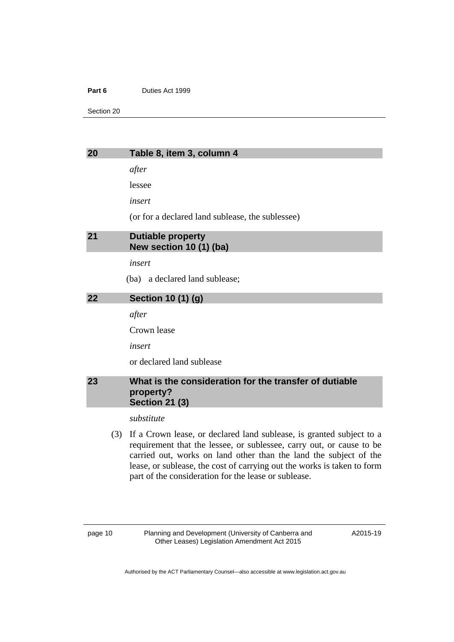#### Part 6 **Duties Act 1999**

Section 20

<span id="page-19-0"></span>

| × |  |
|---|--|
|   |  |

#### **20 Table 8, item 3, column 4**

*after* 

lessee

*insert* 

(or for a declared land sublease, the sublessee)

<span id="page-19-1"></span>

| 21 | Dutiable property       |
|----|-------------------------|
|    | New section 10 (1) (ba) |

*insert* 

(ba) a declared land sublease;

<span id="page-19-2"></span>**22 Section 10 (1) (g)** 

*after* 

Crown lease

*insert* 

or declared land sublease

#### <span id="page-19-3"></span>**23 What is the consideration for the transfer of dutiable property? Section 21 (3)**

*substitute* 

 (3) If a Crown lease, or declared land sublease, is granted subject to a requirement that the lessee, or sublessee, carry out, or cause to be carried out, works on land other than the land the subject of the lease, or sublease, the cost of carrying out the works is taken to form part of the consideration for the lease or sublease.

A2015-19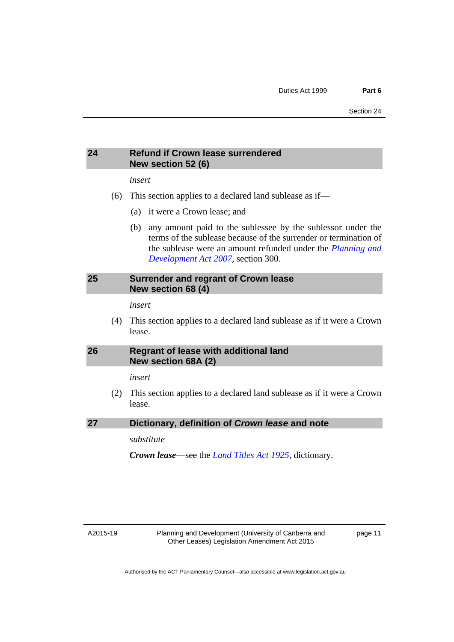#### <span id="page-20-0"></span>**24 Refund if Crown lease surrendered New section 52 (6)**

*insert* 

- (6) This section applies to a declared land sublease as if—
	- (a) it were a Crown lease; and
	- (b) any amount paid to the sublessee by the sublessor under the terms of the sublease because of the surrender or termination of the sublease were an amount refunded under the *[Planning and](http://www.legislation.act.gov.au/a/2007-24)  [Development Act 2007](http://www.legislation.act.gov.au/a/2007-24)*, section 300.

#### <span id="page-20-1"></span>**25 Surrender and regrant of Crown lease New section 68 (4)**

*insert* 

 (4) This section applies to a declared land sublease as if it were a Crown lease.

#### <span id="page-20-2"></span>**26 Regrant of lease with additional land New section 68A (2)**

*insert* 

 (2) This section applies to a declared land sublease as if it were a Crown lease.

<span id="page-20-3"></span>**27 Dictionary, definition of** *Crown lease* **and note** 

*substitute* 

*Crown lease*—see the *[Land Titles Act 1925](http://www.legislation.act.gov.au/a/1925-1)*, dictionary.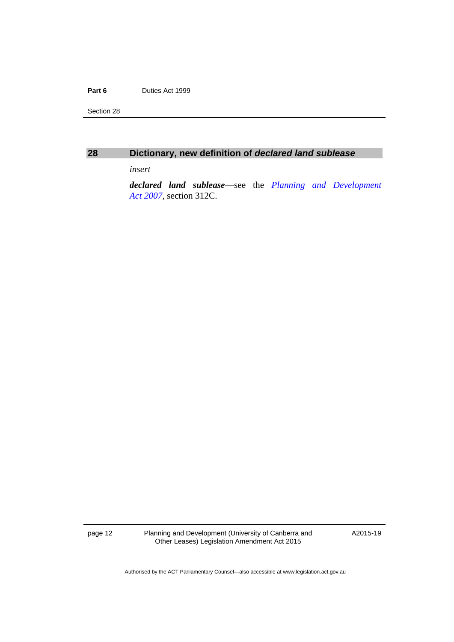#### Part 6 **Duties Act 1999**

Section 28

<span id="page-21-0"></span>

| × |  |
|---|--|
|   |  |

#### **28 Dictionary, new definition of** *declared land sublease*

*insert* 

*declared land sublease*—see the *[Planning and Development](http://www.legislation.act.gov.au/a/2007-24)  [Act 2007](http://www.legislation.act.gov.au/a/2007-24)*, section 312C.

page 12 Planning and Development (University of Canberra and Other Leases) Legislation Amendment Act 2015

A2015-19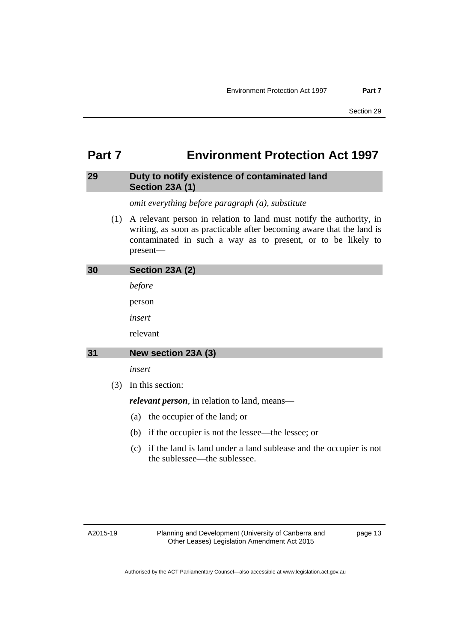### <span id="page-22-0"></span>**Part 7 Environment Protection Act 1997**

#### <span id="page-22-1"></span>**29 Duty to notify existence of contaminated land Section 23A (1)**

*omit everything before paragraph (a), substitute* 

 (1) A relevant person in relation to land must notify the authority, in writing, as soon as practicable after becoming aware that the land is contaminated in such a way as to present, or to be likely to present—

<span id="page-22-3"></span><span id="page-22-2"></span>

| 30 |     | Section 23A (2)                                         |
|----|-----|---------------------------------------------------------|
|    |     | before                                                  |
|    |     | person                                                  |
|    |     | insert                                                  |
|    |     | relevant                                                |
| 31 |     | New section 23A (3)                                     |
|    |     | insert                                                  |
|    | (3) | In this section:                                        |
|    |     | <i>relevant person</i> , in relation to land, means—    |
|    |     | the occupier of the land; or<br>(a)                     |
|    |     | if the occupier is not the lessee—the lessee; or<br>(b) |

 (c) if the land is land under a land sublease and the occupier is not the sublessee—the sublessee.

A2015-19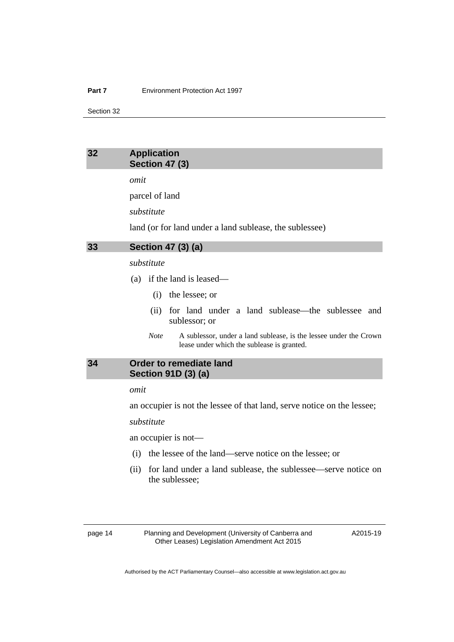#### <span id="page-23-0"></span>**32 Application Section 47 (3)**

*omit* 

parcel of land

*substitute* 

land (or for land under a land sublease, the sublessee)

<span id="page-23-1"></span>**33 Section 47 (3) (a)** 

#### *substitute*

- (a) if the land is leased—
	- (i) the lessee; or
	- (ii) for land under a land sublease—the sublessee and sublessor; or
	- *Note* A sublessor, under a land sublease, is the lessee under the Crown lease under which the sublease is granted.

#### <span id="page-23-2"></span>**34 Order to remediate land Section 91D (3) (a)**

#### *omit*

an occupier is not the lessee of that land, serve notice on the lessee;

#### *substitute*

an occupier is not—

- (i) the lessee of the land—serve notice on the lessee; or
- (ii) for land under a land sublease, the sublessee—serve notice on the sublessee;

page 14 Planning and Development (University of Canberra and Other Leases) Legislation Amendment Act 2015

A2015-19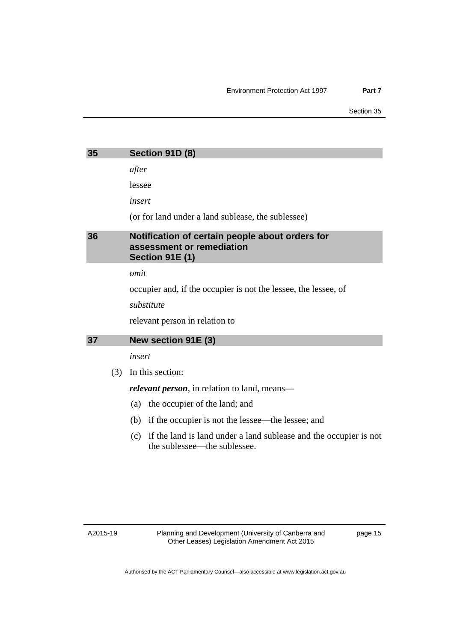<span id="page-24-1"></span><span id="page-24-0"></span>

| 35 | Section 91D (8)                                                                                        |
|----|--------------------------------------------------------------------------------------------------------|
|    | after                                                                                                  |
|    | lessee                                                                                                 |
|    | insert                                                                                                 |
|    | (or for land under a land sublease, the sublessee)                                                     |
| 36 | Notification of certain people about orders for<br>assessment or remediation<br><b>Section 91E (1)</b> |
|    | omit                                                                                                   |

occupier and, if the occupier is not the lessee, the lessee, of

*substitute* 

relevant person in relation to

#### <span id="page-24-2"></span>**37 New section 91E (3)**

#### *insert*

(3) In this section:

*relevant person*, in relation to land, means—

- (a) the occupier of the land; and
- (b) if the occupier is not the lessee—the lessee; and
- (c) if the land is land under a land sublease and the occupier is not the sublessee—the sublessee.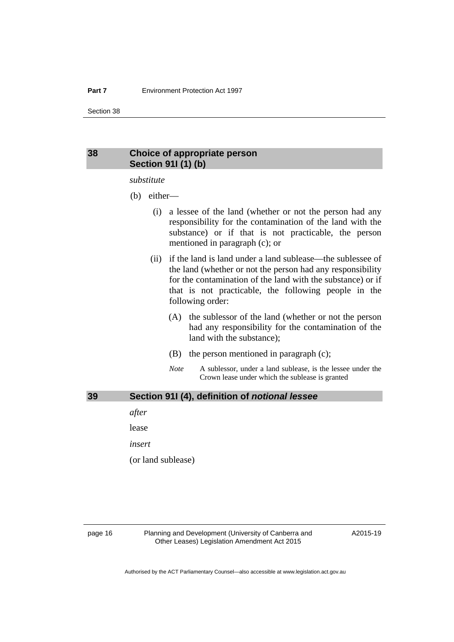#### <span id="page-25-0"></span>**38 Choice of appropriate person Section 91I (1) (b)**

#### *substitute*

- (b) either—
	- (i) a lessee of the land (whether or not the person had any responsibility for the contamination of the land with the substance) or if that is not practicable, the person mentioned in paragraph (c); or
	- (ii) if the land is land under a land sublease—the sublessee of the land (whether or not the person had any responsibility for the contamination of the land with the substance) or if that is not practicable, the following people in the following order:
		- (A) the sublessor of the land (whether or not the person had any responsibility for the contamination of the land with the substance);
		- (B) the person mentioned in paragraph (c);
		- *Note* A sublessor, under a land sublease, is the lessee under the Crown lease under which the sublease is granted

#### <span id="page-25-1"></span>**39 Section 91I (4), definition of** *notional lessee*

*after* 

lease

*insert* 

(or land sublease)

page 16 Planning and Development (University of Canberra and Other Leases) Legislation Amendment Act 2015

A2015-19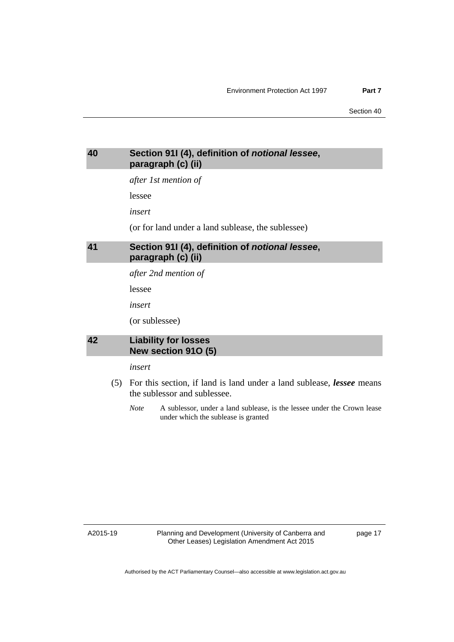#### <span id="page-26-0"></span>**40 Section 91I (4), definition of** *notional lessee***, paragraph (c) (ii)**

*after 1st mention of* 

lessee

*insert* 

(or for land under a land sublease, the sublessee)

#### <span id="page-26-1"></span>**41 Section 91I (4), definition of** *notional lessee***, paragraph (c) (ii)**

*after 2nd mention of* 

lessee

*insert* 

(or sublessee)

#### <span id="page-26-2"></span>**42 Liability for losses New section 91O (5)**

#### *insert*

- (5) For this section, if land is land under a land sublease, *lessee* means the sublessor and sublessee.
	- *Note* A sublessor, under a land sublease, is the lessee under the Crown lease under which the sublease is granted

A2015-19

Planning and Development (University of Canberra and Other Leases) Legislation Amendment Act 2015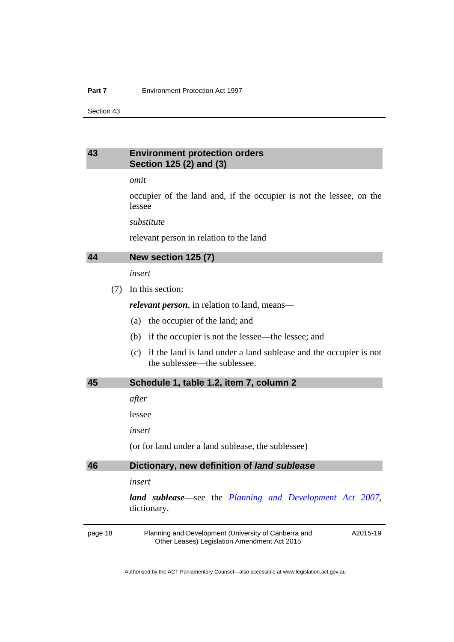#### <span id="page-27-0"></span>**43 Environment protection orders Section 125 (2) and (3)**

*omit* 

occupier of the land and, if the occupier is not the lessee, on the lessee

*substitute* 

relevant person in relation to the land

#### <span id="page-27-1"></span>**44 New section 125 (7)**

*insert* 

(7) In this section:

*relevant person*, in relation to land, means—

- (a) the occupier of the land; and
- (b) if the occupier is not the lessee—the lessee; and
- (c) if the land is land under a land sublease and the occupier is not the sublessee—the sublessee.

#### <span id="page-27-2"></span>**45 Schedule 1, table 1.2, item 7, column 2**

*after* 

lessee

*insert* 

(or for land under a land sublease, the sublessee)

#### <span id="page-27-3"></span>**46 Dictionary, new definition of** *land sublease*

*insert* 

*land sublease*—see the *[Planning and Development Act 2007](http://www.legislation.act.gov.au/a/2007-24)*, dictionary.

page 18 Planning and Development (University of Canberra and Other Leases) Legislation Amendment Act 2015

A2015-19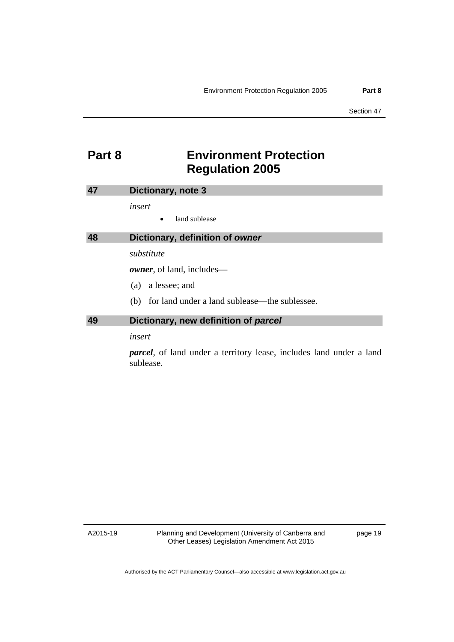### <span id="page-28-0"></span>**Part 8 Environment Protection Regulation 2005**

<span id="page-28-2"></span><span id="page-28-1"></span>

|    | Dictionary, note 3                                   |
|----|------------------------------------------------------|
|    | insert                                               |
|    | land sublease                                        |
| 48 | Dictionary, definition of owner                      |
|    | substitute                                           |
|    | <b><i>owner</i></b> , of land, includes—             |
|    | a lessee; and<br>(a)                                 |
|    | for land under a land sublease—the sublessee.<br>(b) |
| 49 | Dictionary, new definition of parcel                 |
|    | insert                                               |

<span id="page-28-3"></span>*parcel*, of land under a territory lease, includes land under a land sublease.

A2015-19

Planning and Development (University of Canberra and Other Leases) Legislation Amendment Act 2015

page 19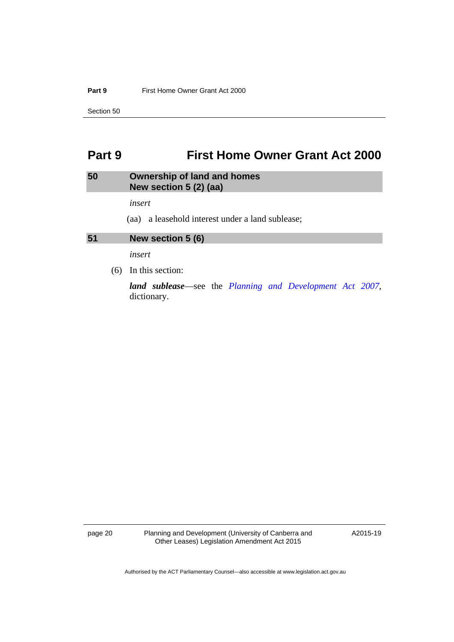#### **Part 9 First Home Owner Grant Act 2000**

Section 50

### <span id="page-29-0"></span>**Part 9 First Home Owner Grant Act 2000**

#### <span id="page-29-1"></span>**50 Ownership of land and homes New section 5 (2) (aa)**

*insert* 

(aa) a leasehold interest under a land sublease;

#### <span id="page-29-2"></span>**51 New section 5 (6)**

*insert* 

(6) In this section:

*land sublease*—see the *[Planning and Development Act 2007](http://www.legislation.act.gov.au/a/2007-24)*, dictionary.

page 20 Planning and Development (University of Canberra and Other Leases) Legislation Amendment Act 2015

A2015-19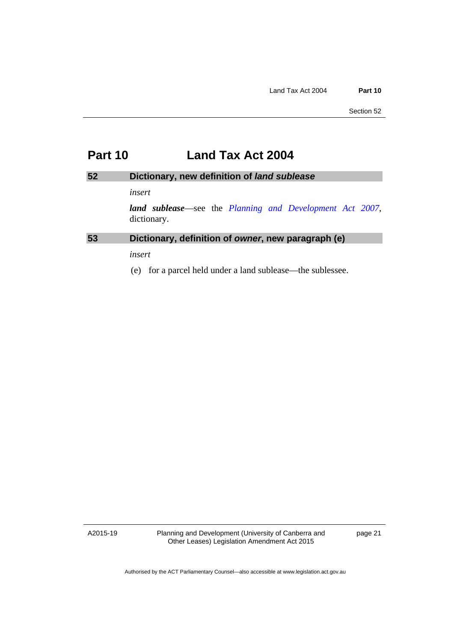### <span id="page-30-0"></span>**Part 10 Land Tax Act 2004**

#### <span id="page-30-1"></span>**52 Dictionary, new definition of** *land sublease*

#### *insert*

*land sublease*—see the *[Planning and Development Act 2007](http://www.legislation.act.gov.au/a/2007-24)*, dictionary.

#### <span id="page-30-2"></span>**53 Dictionary, definition of** *owner***, new paragraph (e)**

*insert* 

(e) for a parcel held under a land sublease—the sublessee.

A2015-19

Planning and Development (University of Canberra and Other Leases) Legislation Amendment Act 2015

page 21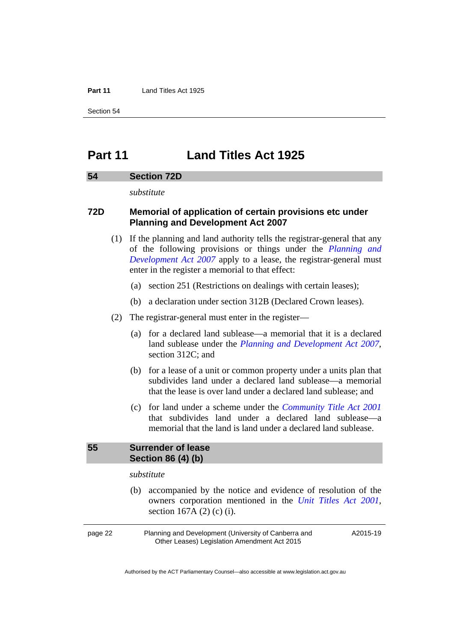#### **Part 11** Land Titles Act 1925

Section 54

### <span id="page-31-0"></span>**Part 11 Land Titles Act 1925**

#### <span id="page-31-1"></span>**54 Section 72D**

*substitute* 

#### **72D Memorial of application of certain provisions etc under Planning and Development Act 2007**

- (1) If the planning and land authority tells the registrar-general that any of the following provisions or things under the *[Planning and](http://www.legislation.act.gov.au/a/2007-24)  [Development Act 2007](http://www.legislation.act.gov.au/a/2007-24)* apply to a lease, the registrar-general must enter in the register a memorial to that effect:
	- (a) section 251 (Restrictions on dealings with certain leases);
	- (b) a declaration under section 312B (Declared Crown leases).
- (2) The registrar-general must enter in the register—
	- (a) for a declared land sublease—a memorial that it is a declared land sublease under the *[Planning and Development Act 2007](http://www.legislation.act.gov.au/a/2007-24)*, section 312C; and
	- (b) for a lease of a unit or common property under a units plan that subdivides land under a declared land sublease—a memorial that the lease is over land under a declared land sublease; and
	- (c) for land under a scheme under the *[Community Title Act 2001](http://www.legislation.act.gov.au/a/2001-58)* that subdivides land under a declared land sublease—a memorial that the land is land under a declared land sublease.

#### <span id="page-31-2"></span>**55 Surrender of lease Section 86 (4) (b)**

#### *substitute*

 (b) accompanied by the notice and evidence of resolution of the owners corporation mentioned in the *[Unit Titles Act 2001](http://www.legislation.act.gov.au/a/2001-16)*, section 167A (2) (c) (i).

page 22 Planning and Development (University of Canberra and Other Leases) Legislation Amendment Act 2015

A2015-19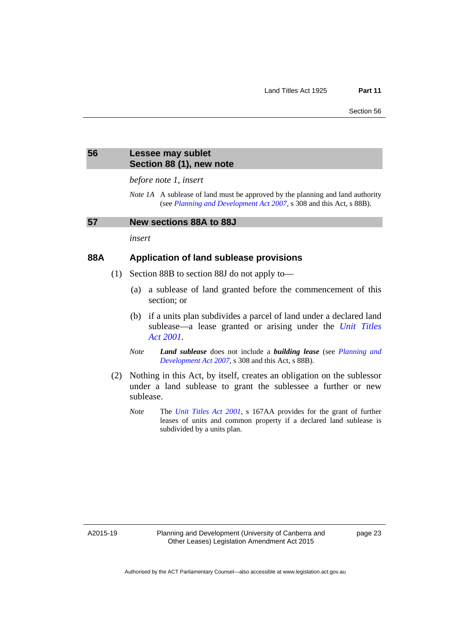#### <span id="page-32-0"></span>**56 Lessee may sublet Section 88 (1), new note**

*before note 1, insert* 

*Note 1A* A sublease of land must be approved by the planning and land authority (see *[Planning and Development Act 2007](http://www.legislation.act.gov.au/a/2007-24)*, s 308 and this Act, s 88B).

#### <span id="page-32-1"></span>**57 New sections 88A to 88J**

*insert* 

#### **88A Application of land sublease provisions**

- (1) Section 88B to section 88J do not apply to—
	- (a) a sublease of land granted before the commencement of this section; or
	- (b) if a units plan subdivides a parcel of land under a declared land sublease—a lease granted or arising under the *[Unit Titles](http://www.legislation.act.gov.au/a/2001-16)  [Act 2001](http://www.legislation.act.gov.au/a/2001-16).*
	- *Note Land sublease* does not include a *building lease* (see *[Planning and](http://www.legislation.act.gov.au/a/2007-24)  [Development Act 2007](http://www.legislation.act.gov.au/a/2007-24)*, s 308 and this Act, s 88B).
- (2) Nothing in this Act, by itself, creates an obligation on the sublessor under a land sublease to grant the sublessee a further or new sublease.
	- *Note* The *[Unit Titles Act 2001](http://www.legislation.act.gov.au/a/2001-16)*, s 167AA provides for the grant of further leases of units and common property if a declared land sublease is subdivided by a units plan.

A2015-19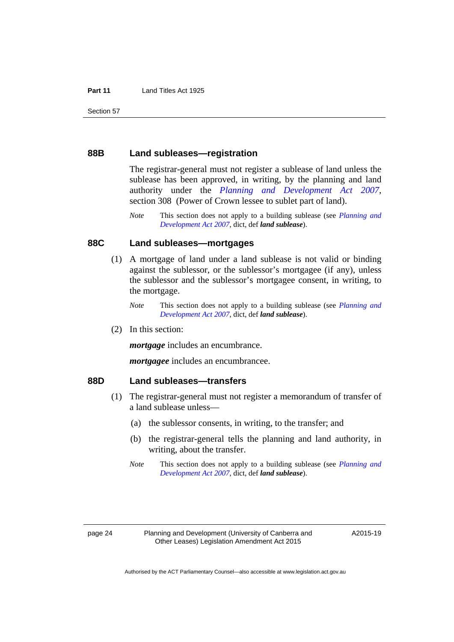#### **88B Land subleases—registration**

The registrar-general must not register a sublease of land unless the sublease has been approved, in writing, by the planning and land authority under the *[Planning and Development Act 2007](http://www.legislation.act.gov.au/a/2007-24)*, section 308 (Power of Crown lessee to sublet part of land).

*Note* This section does not apply to a building sublease (see *[Planning and](http://www.legislation.act.gov.au/a/2007-24)  [Development Act 2007](http://www.legislation.act.gov.au/a/2007-24)*, dict, def *land sublease*).

#### **88C Land subleases—mortgages**

- (1) A mortgage of land under a land sublease is not valid or binding against the sublessor, or the sublessor's mortgagee (if any), unless the sublessor and the sublessor's mortgagee consent, in writing, to the mortgage.
	- *Note* This section does not apply to a building sublease (see *[Planning and](http://www.legislation.act.gov.au/a/2007-24)  [Development Act 2007](http://www.legislation.act.gov.au/a/2007-24)*, dict, def *land sublease*).
- (2) In this section:

*mortgage* includes an encumbrance.

*mortgagee* includes an encumbrancee.

#### **88D Land subleases—transfers**

- (1) The registrar-general must not register a memorandum of transfer of a land sublease unless—
	- (a) the sublessor consents, in writing, to the transfer; and
	- (b) the registrar-general tells the planning and land authority, in writing, about the transfer.
	- *Note* This section does not apply to a building sublease (see *[Planning and](http://www.legislation.act.gov.au/a/2007-24)  [Development Act 2007](http://www.legislation.act.gov.au/a/2007-24)*, dict, def *land sublease*).

A2015-19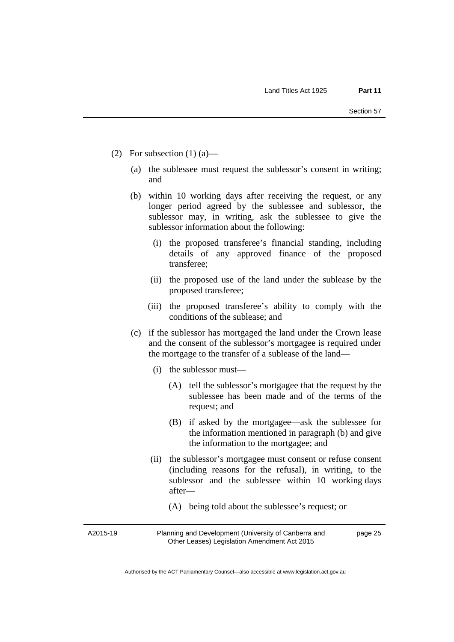- (2) For subsection  $(1)$  (a)—
	- (a) the sublessee must request the sublessor's consent in writing; and
	- (b) within 10 working days after receiving the request, or any longer period agreed by the sublessee and sublessor, the sublessor may, in writing, ask the sublessee to give the sublessor information about the following:
		- (i) the proposed transferee's financial standing, including details of any approved finance of the proposed transferee;
		- (ii) the proposed use of the land under the sublease by the proposed transferee;
		- (iii) the proposed transferee's ability to comply with the conditions of the sublease; and
	- (c) if the sublessor has mortgaged the land under the Crown lease and the consent of the sublessor's mortgagee is required under the mortgage to the transfer of a sublease of the land—
		- (i) the sublessor must—
			- (A) tell the sublessor's mortgagee that the request by the sublessee has been made and of the terms of the request; and
			- (B) if asked by the mortgagee—ask the sublessee for the information mentioned in paragraph (b) and give the information to the mortgagee; and
		- (ii) the sublessor's mortgagee must consent or refuse consent (including reasons for the refusal), in writing, to the sublessor and the sublessee within 10 working days after—
			- (A) being told about the sublessee's request; or

A2015-19

Planning and Development (University of Canberra and Other Leases) Legislation Amendment Act 2015

page 25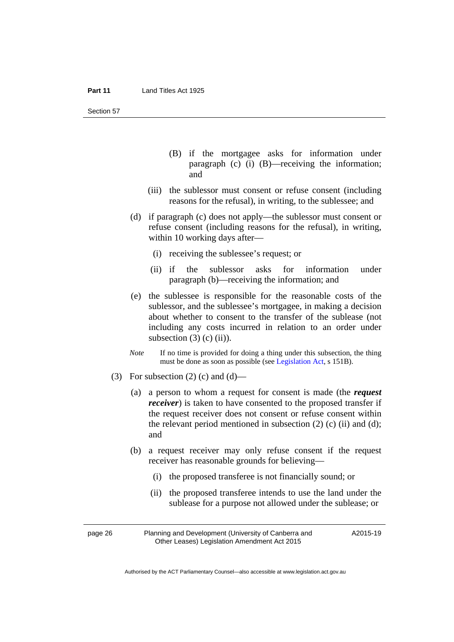- (B) if the mortgagee asks for information under paragraph (c) (i) (B)—receiving the information; and
- (iii) the sublessor must consent or refuse consent (including reasons for the refusal), in writing, to the sublessee; and
- (d) if paragraph (c) does not apply—the sublessor must consent or refuse consent (including reasons for the refusal), in writing, within 10 working days after—
	- (i) receiving the sublessee's request; or
	- (ii) if the sublessor asks for information under paragraph (b)—receiving the information; and
- (e) the sublessee is responsible for the reasonable costs of the sublessor, and the sublessee's mortgagee, in making a decision about whether to consent to the transfer of the sublease (not including any costs incurred in relation to an order under subsection  $(3)$  (c)  $(ii)$ ).
- *Note* If no time is provided for doing a thing under this subsection, the thing must be done as soon as possible (see [Legislation Act,](http://www.legislation.act.gov.au/a/2001-14) s 151B).
- (3) For subsection (2) (c) and (d)—
	- (a) a person to whom a request for consent is made (the *request receiver*) is taken to have consented to the proposed transfer if the request receiver does not consent or refuse consent within the relevant period mentioned in subsection  $(2)$   $(c)$   $(ii)$  and  $(d)$ ; and
	- (b) a request receiver may only refuse consent if the request receiver has reasonable grounds for believing—
		- (i) the proposed transferee is not financially sound; or
		- (ii) the proposed transferee intends to use the land under the sublease for a purpose not allowed under the sublease; or

page 26 Planning and Development (University of Canberra and Other Leases) Legislation Amendment Act 2015

A2015-19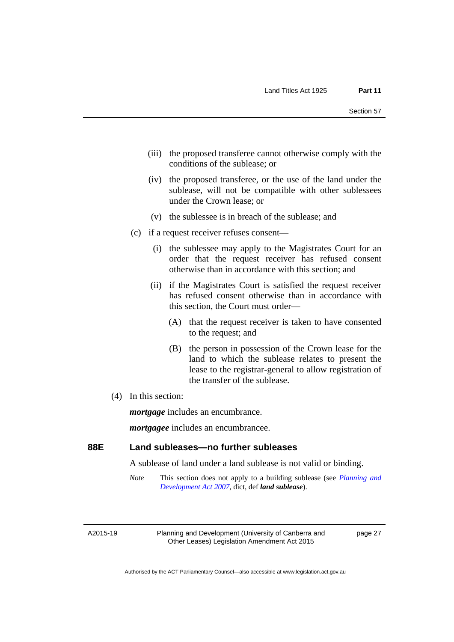- (iii) the proposed transferee cannot otherwise comply with the conditions of the sublease; or
- (iv) the proposed transferee, or the use of the land under the sublease, will not be compatible with other sublessees under the Crown lease; or
- (v) the sublessee is in breach of the sublease; and
- (c) if a request receiver refuses consent—
	- (i) the sublessee may apply to the Magistrates Court for an order that the request receiver has refused consent otherwise than in accordance with this section; and
	- (ii) if the Magistrates Court is satisfied the request receiver has refused consent otherwise than in accordance with this section, the Court must order—
		- (A) that the request receiver is taken to have consented to the request; and
		- (B) the person in possession of the Crown lease for the land to which the sublease relates to present the lease to the registrar-general to allow registration of the transfer of the sublease.
- (4) In this section:

*mortgage* includes an encumbrance.

*mortgagee* includes an encumbrancee.

# **88E Land subleases—no further subleases**

A sublease of land under a land sublease is not valid or binding.

*Note* This section does not apply to a building sublease (see *[Planning and](http://www.legislation.act.gov.au/a/2007-24)  [Development Act 2007](http://www.legislation.act.gov.au/a/2007-24)*, dict, def *land sublease*).

A2015-19

Planning and Development (University of Canberra and Other Leases) Legislation Amendment Act 2015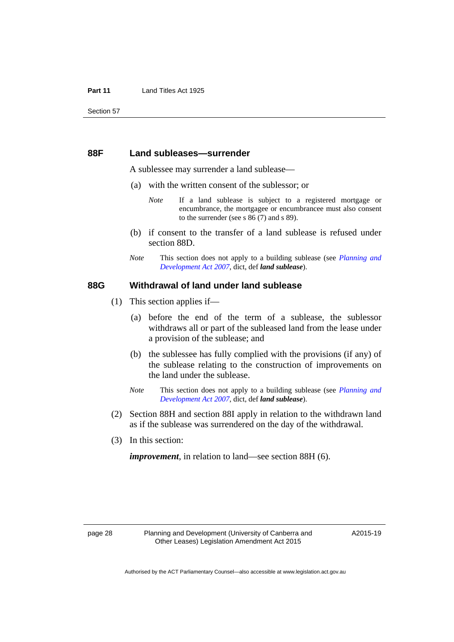### **88F Land subleases—surrender**

A sublessee may surrender a land sublease—

- (a) with the written consent of the sublessor; or
	- *Note* If a land sublease is subject to a registered mortgage or encumbrance, the mortgagee or encumbrancee must also consent to the surrender (see s 86 (7) and s 89).
- (b) if consent to the transfer of a land sublease is refused under section 88D.
- *Note* This section does not apply to a building sublease (see *[Planning and](http://www.legislation.act.gov.au/a/2007-24)  [Development Act 2007](http://www.legislation.act.gov.au/a/2007-24)*, dict, def *land sublease*).

# **88G Withdrawal of land under land sublease**

- (1) This section applies if—
	- (a) before the end of the term of a sublease, the sublessor withdraws all or part of the subleased land from the lease under a provision of the sublease; and
	- (b) the sublessee has fully complied with the provisions (if any) of the sublease relating to the construction of improvements on the land under the sublease.
	- *Note* This section does not apply to a building sublease (see *[Planning and](http://www.legislation.act.gov.au/a/2007-24)  [Development Act 2007](http://www.legislation.act.gov.au/a/2007-24)*, dict, def *land sublease*).
- (2) Section 88H and section 88I apply in relation to the withdrawn land as if the sublease was surrendered on the day of the withdrawal.
- (3) In this section:

*improvement*, in relation to land—see section 88H (6).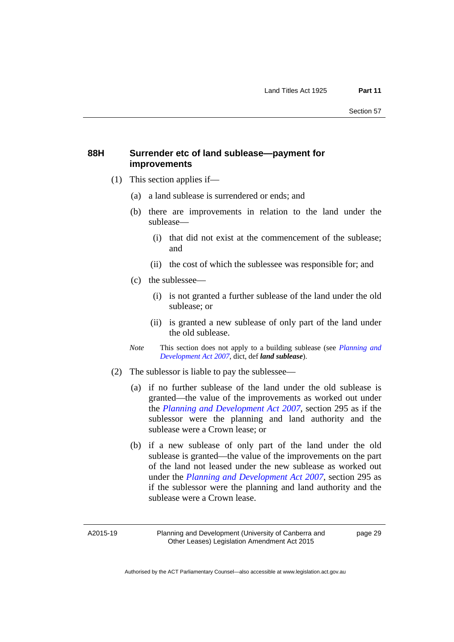# **88H Surrender etc of land sublease—payment for improvements**

- (1) This section applies if—
	- (a) a land sublease is surrendered or ends; and
	- (b) there are improvements in relation to the land under the sublease—
		- (i) that did not exist at the commencement of the sublease; and
		- (ii) the cost of which the sublessee was responsible for; and
	- (c) the sublessee—
		- (i) is not granted a further sublease of the land under the old sublease; or
		- (ii) is granted a new sublease of only part of the land under the old sublease.
	- *Note* This section does not apply to a building sublease (see *[Planning and](http://www.legislation.act.gov.au/a/2007-24)  [Development Act 2007](http://www.legislation.act.gov.au/a/2007-24)*, dict, def *land sublease*).
- (2) The sublessor is liable to pay the sublessee—
	- (a) if no further sublease of the land under the old sublease is granted—the value of the improvements as worked out under the *[Planning and Development Act 2007](http://www.legislation.act.gov.au/a/2007-24)*, section 295 as if the sublessor were the planning and land authority and the sublease were a Crown lease; or
	- (b) if a new sublease of only part of the land under the old sublease is granted—the value of the improvements on the part of the land not leased under the new sublease as worked out under the *[Planning and Development Act 2007](http://www.legislation.act.gov.au/a/2007-24)*, section 295 as if the sublessor were the planning and land authority and the sublease were a Crown lease.

A2015-19

Planning and Development (University of Canberra and Other Leases) Legislation Amendment Act 2015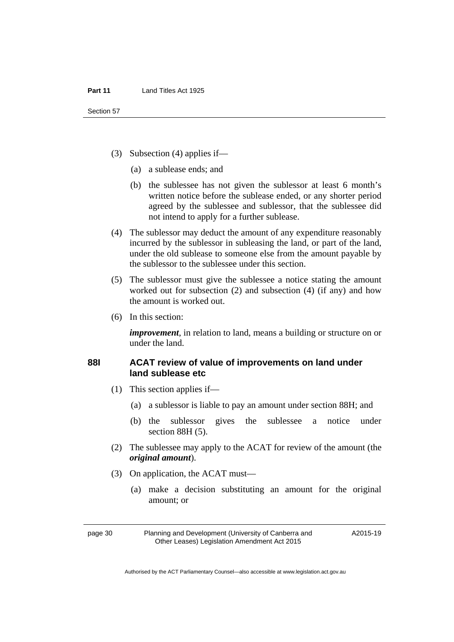- (3) Subsection (4) applies if—
	- (a) a sublease ends; and
	- (b) the sublessee has not given the sublessor at least 6 month's written notice before the sublease ended, or any shorter period agreed by the sublessee and sublessor, that the sublessee did not intend to apply for a further sublease.
- (4) The sublessor may deduct the amount of any expenditure reasonably incurred by the sublessor in subleasing the land, or part of the land, under the old sublease to someone else from the amount payable by the sublessor to the sublessee under this section.
- (5) The sublessor must give the sublessee a notice stating the amount worked out for subsection (2) and subsection (4) (if any) and how the amount is worked out.
- (6) In this section:

*improvement*, in relation to land, means a building or structure on or under the land.

# **88I ACAT review of value of improvements on land under land sublease etc**

- (1) This section applies if—
	- (a) a sublessor is liable to pay an amount under section 88H; and
	- (b) the sublessor gives the sublessee a notice under section 88H (5).
- (2) The sublessee may apply to the ACAT for review of the amount (the *original amount*).
- (3) On application, the ACAT must—
	- (a) make a decision substituting an amount for the original amount; or

A2015-19

page 30 Planning and Development (University of Canberra and Other Leases) Legislation Amendment Act 2015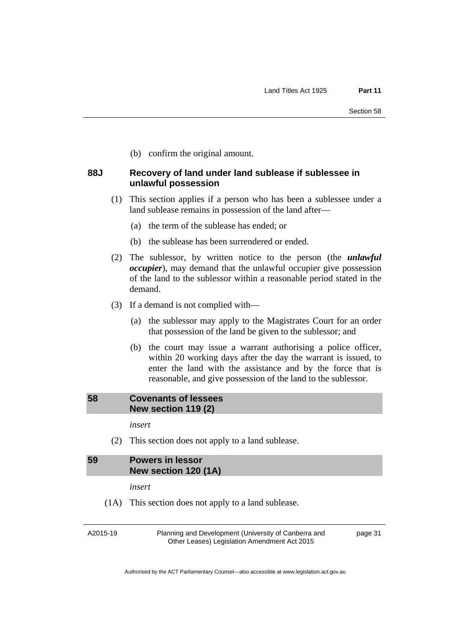(b) confirm the original amount.

# **88J Recovery of land under land sublease if sublessee in unlawful possession**

- (1) This section applies if a person who has been a sublessee under a land sublease remains in possession of the land after—
	- (a) the term of the sublease has ended; or
	- (b) the sublease has been surrendered or ended.
- (2) The sublessor, by written notice to the person (the *unlawful occupier*), may demand that the unlawful occupier give possession of the land to the sublessor within a reasonable period stated in the demand.
- (3) If a demand is not complied with—
	- (a) the sublessor may apply to the Magistrates Court for an order that possession of the land be given to the sublessor; and
	- (b) the court may issue a warrant authorising a police officer, within 20 working days after the day the warrant is issued, to enter the land with the assistance and by the force that is reasonable, and give possession of the land to the sublessor.

# **58 Covenants of lessees New section 119 (2)**

*insert* 

(2) This section does not apply to a land sublease.

# **59 Powers in lessor New section 120 (1A)**

*insert* 

(1A) This section does not apply to a land sublease.

A2015-19

Planning and Development (University of Canberra and Other Leases) Legislation Amendment Act 2015

page 31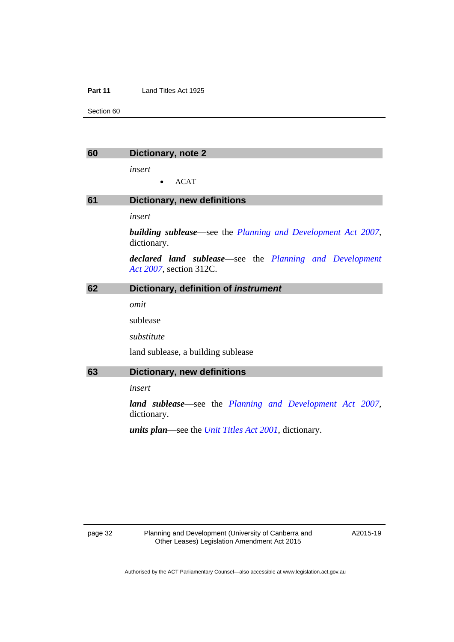#### **Part 11** Land Titles Act 1925

Section 60

| 60 | Dictionary, note 2                                                                         |
|----|--------------------------------------------------------------------------------------------|
|    | insert                                                                                     |
|    | <b>ACAT</b>                                                                                |
| 61 | <b>Dictionary, new definitions</b>                                                         |
|    | insert                                                                                     |
|    | <b>building sublease</b> —see the Planning and Development Act 2007,<br>dictionary.        |
|    | <b>declared land sublease</b> —see the Planning and Development<br>Act 2007, section 312C. |
| 62 | Dictionary, definition of instrument                                                       |
|    | omit                                                                                       |
|    | sublease                                                                                   |
|    | substitute                                                                                 |
|    | land sublease, a building sublease                                                         |
| 63 | <b>Dictionary, new definitions</b>                                                         |
|    | insert                                                                                     |
|    | <b>land sublease</b> —see the Planning and Development Act 2007,<br>dictionary.            |
|    | <i>units plan—see the Unit Titles Act 2001</i> , dictionary.                               |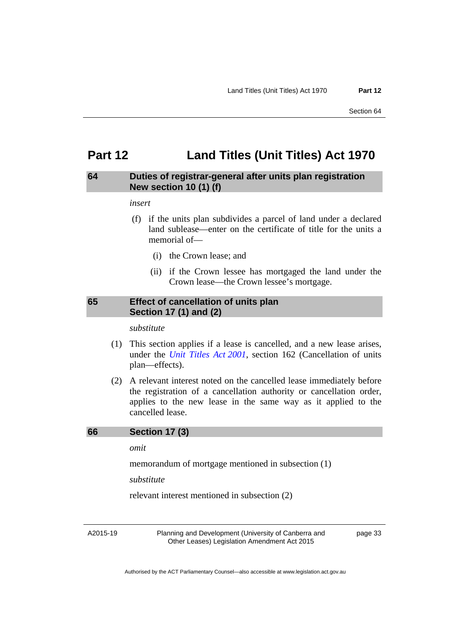# **Part 12 Land Titles (Unit Titles) Act 1970**

# **64 Duties of registrar-general after units plan registration New section 10 (1) (f)**

#### *insert*

- (f) if the units plan subdivides a parcel of land under a declared land sublease—enter on the certificate of title for the units a memorial of—
	- (i) the Crown lease; and
	- (ii) if the Crown lessee has mortgaged the land under the Crown lease—the Crown lessee's mortgage.

# **65 Effect of cancellation of units plan Section 17 (1) and (2)**

*substitute* 

- (1) This section applies if a lease is cancelled, and a new lease arises, under the *[Unit Titles Act 2001](http://www.legislation.act.gov.au/a/2001-16)*, section 162 (Cancellation of units plan—effects).
- (2) A relevant interest noted on the cancelled lease immediately before the registration of a cancellation authority or cancellation order, applies to the new lease in the same way as it applied to the cancelled lease.

#### **66 Section 17 (3)**

*omit* 

memorandum of mortgage mentioned in subsection (1)

*substitute* 

relevant interest mentioned in subsection (2)

A2015-19

Planning and Development (University of Canberra and Other Leases) Legislation Amendment Act 2015

page 33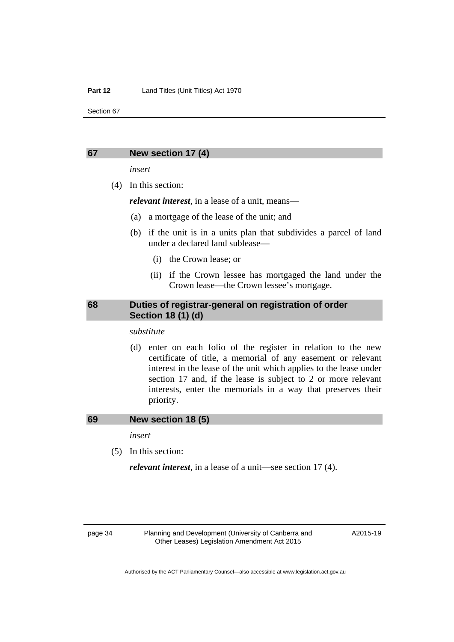#### **67 New section 17 (4)**

*insert* 

(4) In this section:

*relevant interest*, in a lease of a unit, means—

- (a) a mortgage of the lease of the unit; and
- (b) if the unit is in a units plan that subdivides a parcel of land under a declared land sublease—
	- (i) the Crown lease; or
	- (ii) if the Crown lessee has mortgaged the land under the Crown lease—the Crown lessee's mortgage.

# **68 Duties of registrar-general on registration of order Section 18 (1) (d)**

*substitute* 

 (d) enter on each folio of the register in relation to the new certificate of title, a memorial of any easement or relevant interest in the lease of the unit which applies to the lease under section 17 and, if the lease is subject to 2 or more relevant interests, enter the memorials in a way that preserves their priority.

#### **69 New section 18 (5)**

*insert* 

(5) In this section:

*relevant interest*, in a lease of a unit—see section 17 (4).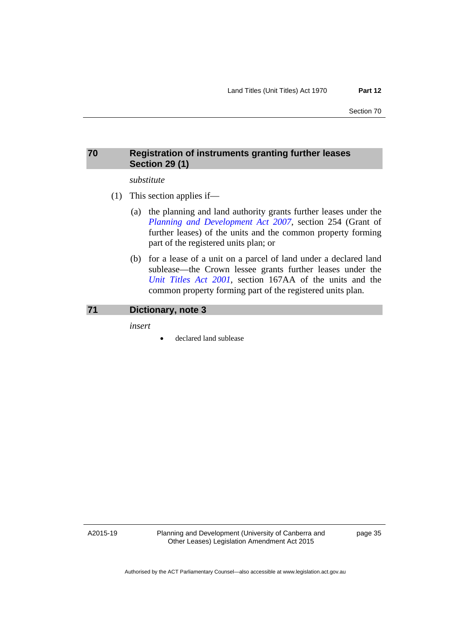# **70 Registration of instruments granting further leases Section 29 (1)**

# *substitute*

- (1) This section applies if—
	- (a) the planning and land authority grants further leases under the *[Planning and Development Act 2007](http://www.legislation.act.gov.au/a/2007-24)*, section 254 (Grant of further leases) of the units and the common property forming part of the registered units plan; or
	- (b) for a lease of a unit on a parcel of land under a declared land sublease—the Crown lessee grants further leases under the *[Unit Titles Act 2001](http://www.legislation.act.gov.au/a/2001-16)*, section 167AA of the units and the common property forming part of the registered units plan.

#### **71 Dictionary, note 3**

*insert* 

declared land sublease

A2015-19

Planning and Development (University of Canberra and Other Leases) Legislation Amendment Act 2015

page 35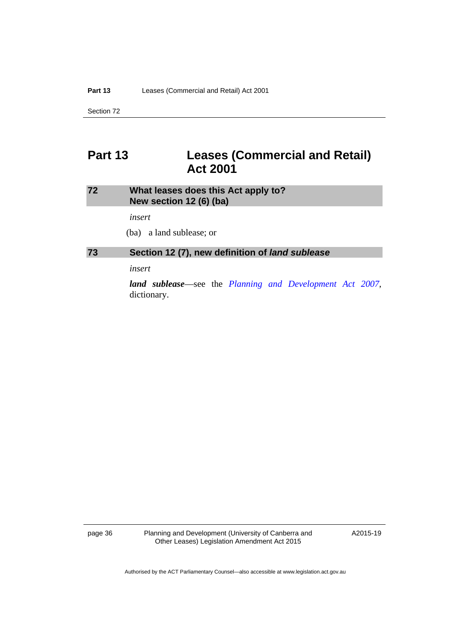# **Part 13 Leases (Commercial and Retail) Act 2001**

# **72 What leases does this Act apply to? New section 12 (6) (ba)**

*insert* 

(ba) a land sublease; or

# **73 Section 12 (7), new definition of** *land sublease*

*insert* 

*land sublease*—see the *[Planning and Development Act 2007](http://www.legislation.act.gov.au/a/2007-24)*, dictionary.

page 36 Planning and Development (University of Canberra and Other Leases) Legislation Amendment Act 2015

A2015-19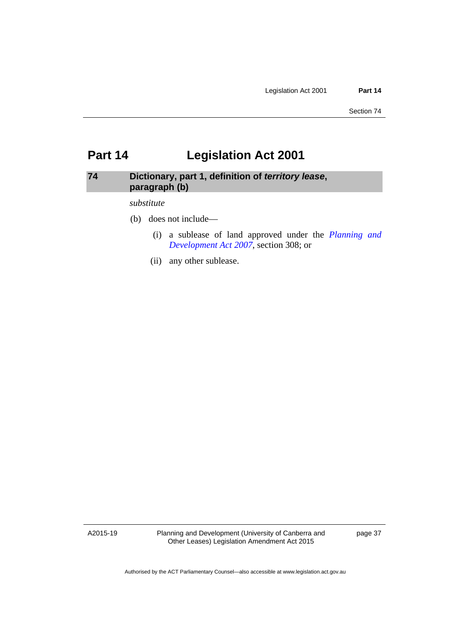# **Part 14 Legislation Act 2001**

# **74 Dictionary, part 1, definition of** *territory lease***, paragraph (b)**

#### *substitute*

- (b) does not include—
	- (i) a sublease of land approved under the *[Planning and](http://www.legislation.act.gov.au/a/2007-24)  [Development Act 2007](http://www.legislation.act.gov.au/a/2007-24)*, section 308; or
	- (ii) any other sublease.

A2015-19

Planning and Development (University of Canberra and Other Leases) Legislation Amendment Act 2015

page 37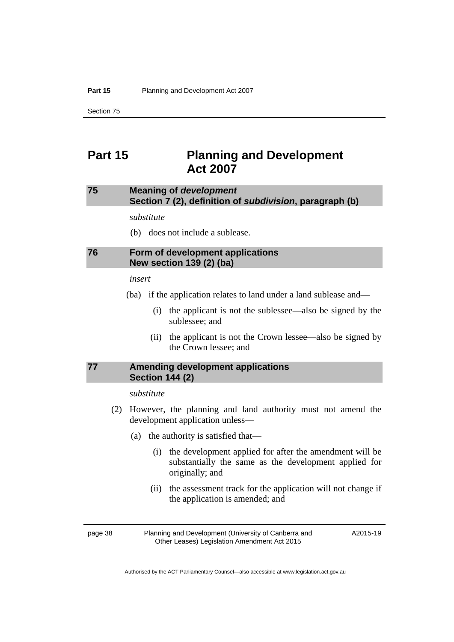# **Part 15 Planning and Development Act 2007**

# **75 Meaning of** *development*  **Section 7 (2), definition of** *subdivision***, paragraph (b)**

*substitute* 

(b) does not include a sublease.

# **76 Form of development applications New section 139 (2) (ba)**

*insert* 

- (ba) if the application relates to land under a land sublease and—
	- (i) the applicant is not the sublessee—also be signed by the sublessee; and
	- (ii) the applicant is not the Crown lessee—also be signed by the Crown lessee; and

# **77 Amending development applications Section 144 (2)**

#### *substitute*

- (2) However, the planning and land authority must not amend the development application unless—
	- (a) the authority is satisfied that—
		- (i) the development applied for after the amendment will be substantially the same as the development applied for originally; and
		- (ii) the assessment track for the application will not change if the application is amended; and

page 38 Planning and Development (University of Canberra and Other Leases) Legislation Amendment Act 2015

A2015-19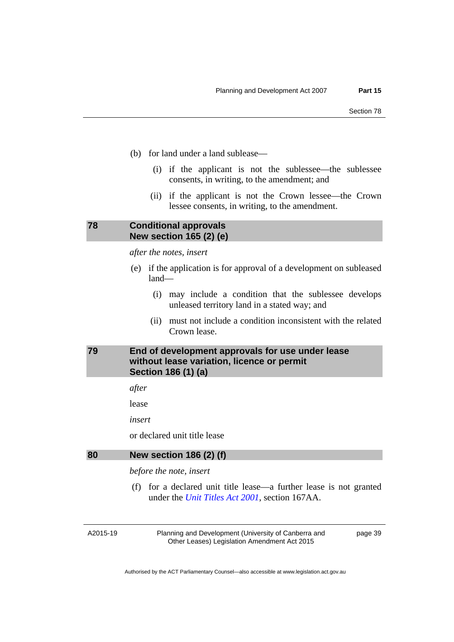- (b) for land under a land sublease—
	- (i) if the applicant is not the sublessee—the sublessee consents, in writing, to the amendment; and
	- (ii) if the applicant is not the Crown lessee—the Crown lessee consents, in writing, to the amendment.

# **78 Conditional approvals New section 165 (2) (e)**

*after the notes, insert* 

- (e) if the application is for approval of a development on subleased land—
	- (i) may include a condition that the sublessee develops unleased territory land in a stated way; and
	- (ii) must not include a condition inconsistent with the related Crown lease.

# **79 End of development approvals for use under lease without lease variation, licence or permit Section 186 (1) (a)**

*after* 

lease

*insert* 

or declared unit title lease

#### **80 New section 186 (2) (f)**

*before the note, insert* 

 (f) for a declared unit title lease—a further lease is not granted under the *[Unit Titles Act 2001](http://www.legislation.act.gov.au/a/2001-16)*, section 167AA.

A2015-19

Planning and Development (University of Canberra and Other Leases) Legislation Amendment Act 2015

page 39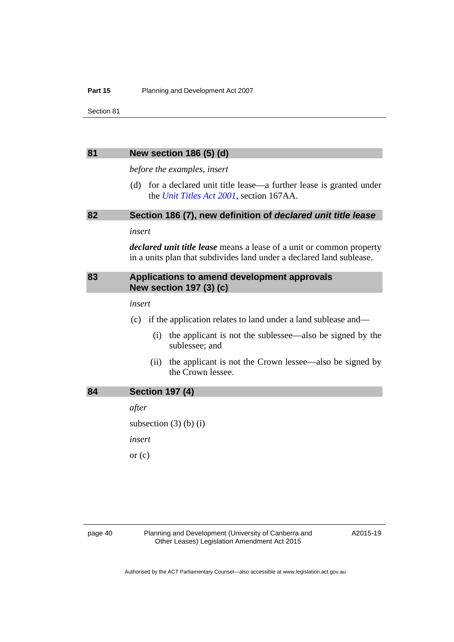#### **Part 15** Planning and Development Act 2007

Section 81

#### **81 New section 186 (5) (d)**

*before the examples, insert* 

 (d) for a declared unit title lease—a further lease is granted under the *[Unit Titles Act 2001](http://www.legislation.act.gov.au/a/2001-16)*, section 167AA.

# **82 Section 186 (7), new definition of** *declared unit title lease*

*insert* 

*declared unit title lease* means a lease of a unit or common property in a units plan that subdivides land under a declared land sublease.

# **83 Applications to amend development approvals New section 197 (3) (c)**

#### *insert*

(c) if the application relates to land under a land sublease and—

- (i) the applicant is not the sublessee—also be signed by the sublessee; and
- (ii) the applicant is not the Crown lessee—also be signed by the Crown lessee.

| 84 | <b>Section 197 (4)</b> |  |  |
|----|------------------------|--|--|
|----|------------------------|--|--|

*after* 

subsection  $(3)$  (b)  $(i)$ *insert*  or  $(c)$ 

page 40 Planning and Development (University of Canberra and Other Leases) Legislation Amendment Act 2015

A2015-19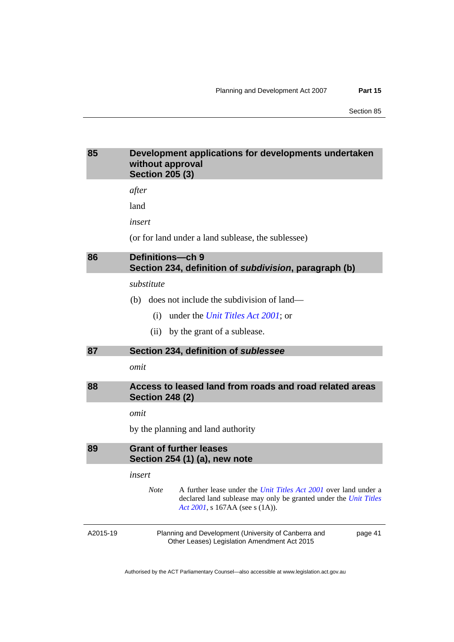# **85 Development applications for developments undertaken without approval Section 205 (3)**

*after* 

land

*insert* 

(or for land under a land sublease, the sublessee)

# **86 Definitions—ch 9 Section 234, definition of** *subdivision***, paragraph (b)**

#### *substitute*

- (b) does not include the subdivision of land—
	- (i) under the *[Unit Titles Act 2001](http://www.legislation.act.gov.au/a/2001-16)*; or
	- (ii) by the grant of a sublease.

#### **87 Section 234, definition of** *sublessee*

*omit* 

# **88 Access to leased land from roads and road related areas Section 248 (2)**

*omit* 

by the planning and land authority

**89 Grant of further leases Section 254 (1) (a), new note** 

*insert* 

*Note* A further lease under the *[Unit Titles Act 2001](http://www.legislation.act.gov.au/a/2001-16)* over land under a declared land sublease may only be granted under the *[Unit Titles](http://www.legislation.act.gov.au/a/2001-16)  [Act 2001](http://www.legislation.act.gov.au/a/2001-16)*, s 167AA (see s (1A)).

A2015-19

Planning and Development (University of Canberra and Other Leases) Legislation Amendment Act 2015

page 41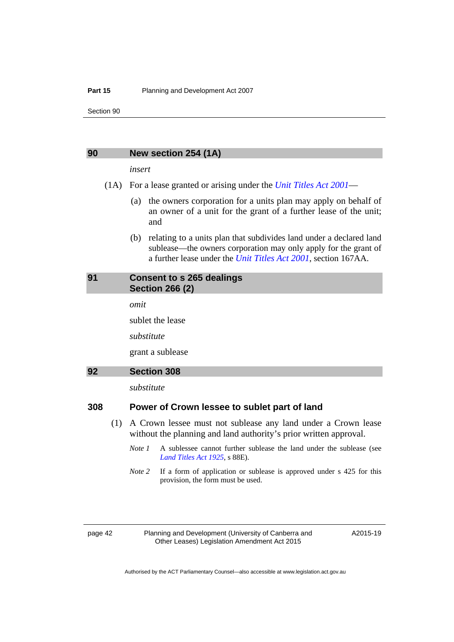#### **Part 15** Planning and Development Act 2007

Section 90

#### **90 New section 254 (1A)**

#### *insert*

- (1A) For a lease granted or arising under the *[Unit Titles Act 2001](http://www.legislation.act.gov.au/a/2001-16)*
	- (a) the owners corporation for a units plan may apply on behalf of an owner of a unit for the grant of a further lease of the unit; and
	- (b) relating to a units plan that subdivides land under a declared land sublease—the owners corporation may only apply for the grant of a further lease under the *[Unit Titles Act 2001](http://www.legislation.act.gov.au/a/2001-16)*, section 167AA.

### **91 Consent to s 265 dealings Section 266 (2)**

*omit* 

sublet the lease

*substitute* 

grant a sublease

# **92 Section 308**

*substitute* 

# **308 Power of Crown lessee to sublet part of land**

- (1) A Crown lessee must not sublease any land under a Crown lease without the planning and land authority's prior written approval.
	- *Note 1* A sublessee cannot further sublease the land under the sublease (see *[Land Titles Act 1925](http://www.legislation.act.gov.au/a/1925-1)*, s 88E).
	- *Note 2* If a form of application or sublease is approved under s 425 for this provision, the form must be used.

page 42 Planning and Development (University of Canberra and Other Leases) Legislation Amendment Act 2015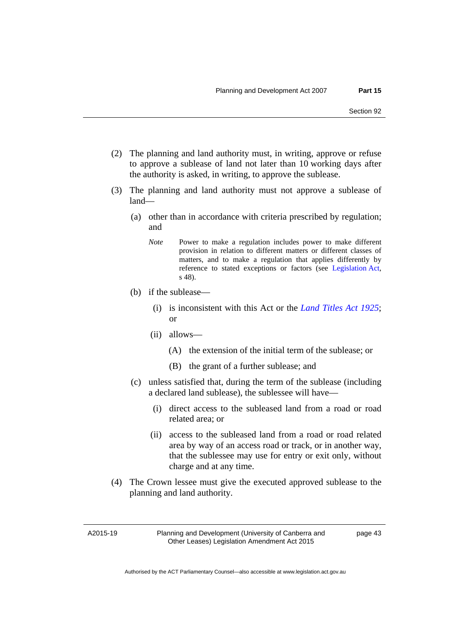- (2) The planning and land authority must, in writing, approve or refuse to approve a sublease of land not later than 10 working days after the authority is asked, in writing, to approve the sublease.
- (3) The planning and land authority must not approve a sublease of land—
	- (a) other than in accordance with criteria prescribed by regulation; and
		- *Note* Power to make a regulation includes power to make different provision in relation to different matters or different classes of matters, and to make a regulation that applies differently by reference to stated exceptions or factors (see [Legislation Act,](http://www.legislation.act.gov.au/a/2001-14) s 48).
	- (b) if the sublease—
		- (i) is inconsistent with this Act or the *[Land Titles Act 1925](http://www.legislation.act.gov.au/a/1925-1)*; or
		- (ii) allows—
			- (A) the extension of the initial term of the sublease; or
			- (B) the grant of a further sublease; and
	- (c) unless satisfied that, during the term of the sublease (including a declared land sublease), the sublessee will have—
		- (i) direct access to the subleased land from a road or road related area; or
		- (ii) access to the subleased land from a road or road related area by way of an access road or track, or in another way, that the sublessee may use for entry or exit only, without charge and at any time.
- (4) The Crown lessee must give the executed approved sublease to the planning and land authority.

A2015-19

Planning and Development (University of Canberra and Other Leases) Legislation Amendment Act 2015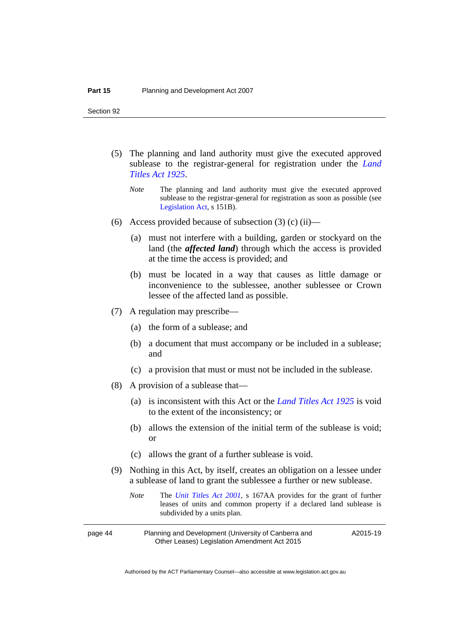- (5) The planning and land authority must give the executed approved sublease to the registrar-general for registration under the *[Land](http://www.legislation.act.gov.au/a/1925-1)  [Titles Act 1925](http://www.legislation.act.gov.au/a/1925-1)*.
	- *Note* The planning and land authority must give the executed approved sublease to the registrar-general for registration as soon as possible (see [Legislation Act,](http://www.legislation.act.gov.au/a/2001-14) s 151B).
- (6) Access provided because of subsection  $(3)$  (c) (ii)—
	- (a) must not interfere with a building, garden or stockyard on the land (the *affected land*) through which the access is provided at the time the access is provided; and
	- (b) must be located in a way that causes as little damage or inconvenience to the sublessee, another sublessee or Crown lessee of the affected land as possible.
- (7) A regulation may prescribe—
	- (a) the form of a sublease; and
	- (b) a document that must accompany or be included in a sublease; and
	- (c) a provision that must or must not be included in the sublease.
- (8) A provision of a sublease that—
	- (a) is inconsistent with this Act or the *[Land Titles Act 1925](http://www.legislation.act.gov.au/a/1925-1)* is void to the extent of the inconsistency; or
	- (b) allows the extension of the initial term of the sublease is void; or
	- (c) allows the grant of a further sublease is void.
- (9) Nothing in this Act, by itself, creates an obligation on a lessee under a sublease of land to grant the sublessee a further or new sublease.
	- *Note* The *[Unit Titles Act 2001](http://www.legislation.act.gov.au/a/2001-16)*, s 167AA provides for the grant of further leases of units and common property if a declared land sublease is subdivided by a units plan.
- page 44 Planning and Development (University of Canberra and Other Leases) Legislation Amendment Act 2015 A2015-19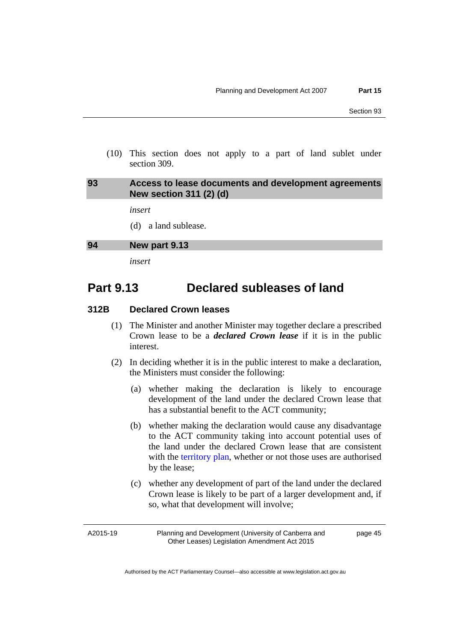(10) This section does not apply to a part of land sublet under section 309.

# **93 Access to lease documents and development agreements New section 311 (2) (d)**

*insert* 

(d) a land sublease.

#### **94 New part 9.13**

*insert* 

# **Part 9.13 Declared subleases of land**

# **312B Declared Crown leases**

- (1) The Minister and another Minister may together declare a prescribed Crown lease to be a *declared Crown lease* if it is in the public interest.
- (2) In deciding whether it is in the public interest to make a declaration, the Ministers must consider the following:
	- (a) whether making the declaration is likely to encourage development of the land under the declared Crown lease that has a substantial benefit to the ACT community;
	- (b) whether making the declaration would cause any disadvantage to the ACT community taking into account potential uses of the land under the declared Crown lease that are consistent with the [territory plan,](http://www.legislation.act.gov.au/ni/2008-27/default.asp) whether or not those uses are authorised by the lease;
	- (c) whether any development of part of the land under the declared Crown lease is likely to be part of a larger development and, if so, what that development will involve;

A2015-19

Planning and Development (University of Canberra and Other Leases) Legislation Amendment Act 2015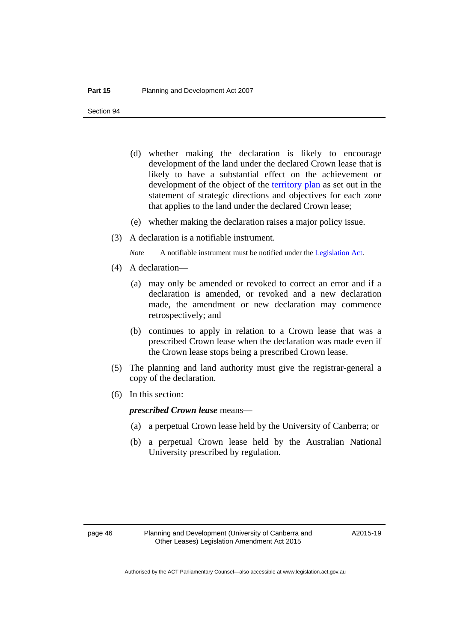- (d) whether making the declaration is likely to encourage development of the land under the declared Crown lease that is likely to have a substantial effect on the achievement or development of the object of the [territory plan](http://www.legislation.act.gov.au/ni/2008-27/default.asp) as set out in the statement of strategic directions and objectives for each zone that applies to the land under the declared Crown lease;
- (e) whether making the declaration raises a major policy issue.
- (3) A declaration is a notifiable instrument.
	- *Note* A notifiable instrument must be notified under the [Legislation Act](http://www.legislation.act.gov.au/a/2001-14).
- (4) A declaration—
	- (a) may only be amended or revoked to correct an error and if a declaration is amended, or revoked and a new declaration made, the amendment or new declaration may commence retrospectively; and
	- (b) continues to apply in relation to a Crown lease that was a prescribed Crown lease when the declaration was made even if the Crown lease stops being a prescribed Crown lease.
- (5) The planning and land authority must give the registrar-general a copy of the declaration.
- (6) In this section:

*prescribed Crown lease* means—

- (a) a perpetual Crown lease held by the University of Canberra; or
- (b) a perpetual Crown lease held by the Australian National University prescribed by regulation.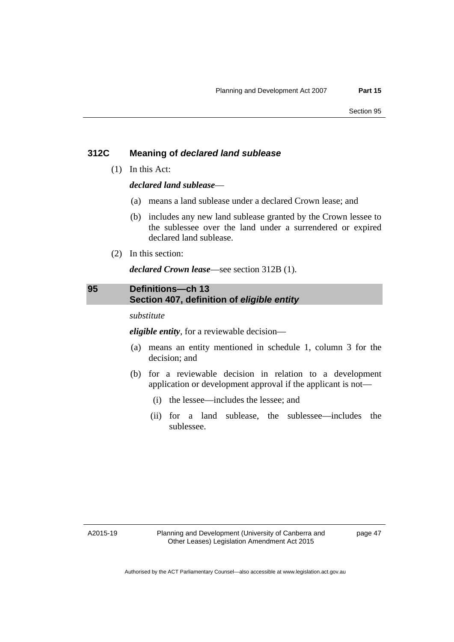# **312C Meaning of** *declared land sublease*

(1) In this Act:

*declared land sublease*—

- (a) means a land sublease under a declared Crown lease; and
- (b) includes any new land sublease granted by the Crown lessee to the sublessee over the land under a surrendered or expired declared land sublease.
- (2) In this section:

*declared Crown lease*—see section 312B (1).

# **95 Definitions—ch 13 Section 407, definition of** *eligible entity*

*substitute* 

*eligible entity*, for a reviewable decision—

- (a) means an entity mentioned in schedule 1, column 3 for the decision; and
- (b) for a reviewable decision in relation to a development application or development approval if the applicant is not—
	- (i) the lessee—includes the lessee; and
	- (ii) for a land sublease, the sublessee—includes the sublessee.

A2015-19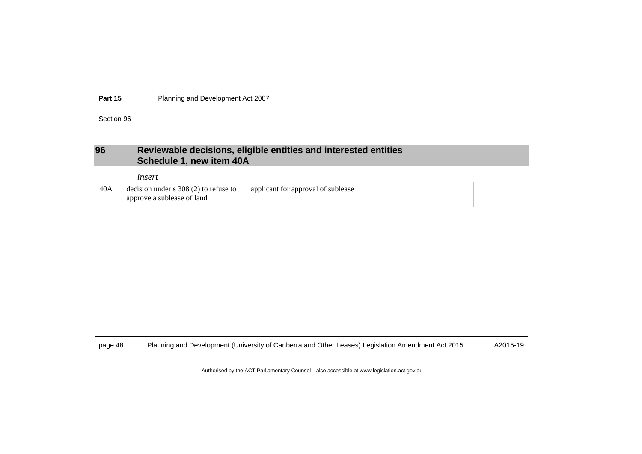**Part 15**Planning and Development Act 2007

Section 96

# **96 Reviewable decisions, eligible entities and interested entities Schedule 1, new item 40A**

|     | ınsert                                                                |                                    |  |
|-----|-----------------------------------------------------------------------|------------------------------------|--|
| 40A | decision under $s$ 308 (2) to refuse to<br>approve a sublease of land | applicant for approval of sublease |  |

page 48 Planning and Development (University of Canberra and Other Leases) Legislation Amendment Act 2015 A2015-19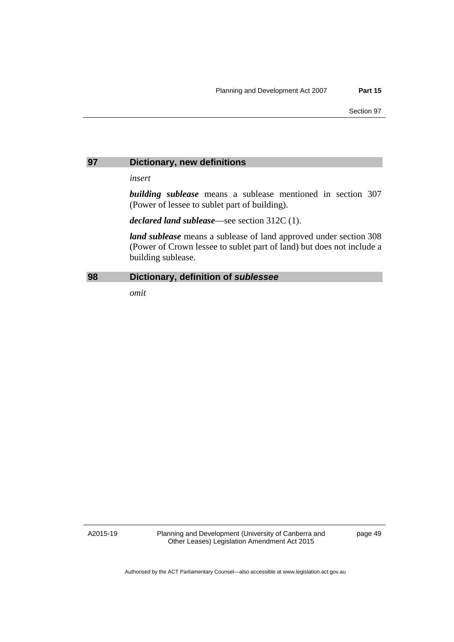#### **97 Dictionary, new definitions**

*insert* 

*building sublease* means a sublease mentioned in section 307 (Power of lessee to sublet part of building).

*declared land sublease*—see section 312C (1).

*land sublease* means a sublease of land approved under section 308 (Power of Crown lessee to sublet part of land) but does not include a building sublease.

# **98 Dictionary, definition of** *sublessee*

*omit* 

A2015-19

Planning and Development (University of Canberra and Other Leases) Legislation Amendment Act 2015

page 49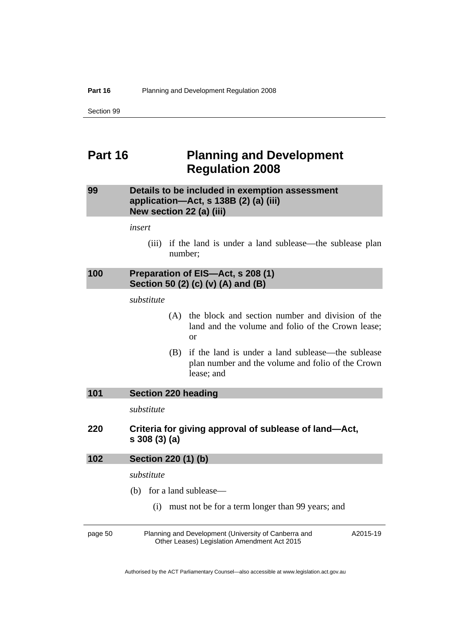# **Part 16 Planning and Development Regulation 2008**

# **99 Details to be included in exemption assessment application—Act, s 138B (2) (a) (iii) New section 22 (a) (iii)**

*insert* 

 (iii) if the land is under a land sublease—the sublease plan number;

# **100 Preparation of EIS—Act, s 208 (1) Section 50 (2) (c) (v) (A) and (B)**

*substitute* 

- (A) the block and section number and division of the land and the volume and folio of the Crown lease; or
- (B) if the land is under a land sublease—the sublease plan number and the volume and folio of the Crown lease; and

| Section 220 heading<br>101 |  |
|----------------------------|--|
|----------------------------|--|

*substitute* 

**220 Criteria for giving approval of sublease of land—Act, s 308 (3) (a)** 

| 102 | Section 220 (1) (b)<br>substitute                       |                                                                                                      |          |  |
|-----|---------------------------------------------------------|------------------------------------------------------------------------------------------------------|----------|--|
|     |                                                         |                                                                                                      |          |  |
|     | must not be for a term longer than 99 years; and<br>(i) |                                                                                                      |          |  |
|     | page 50                                                 | Planning and Development (University of Canberra and<br>Other Leases) Legislation Amendment Act 2015 | A2015-19 |  |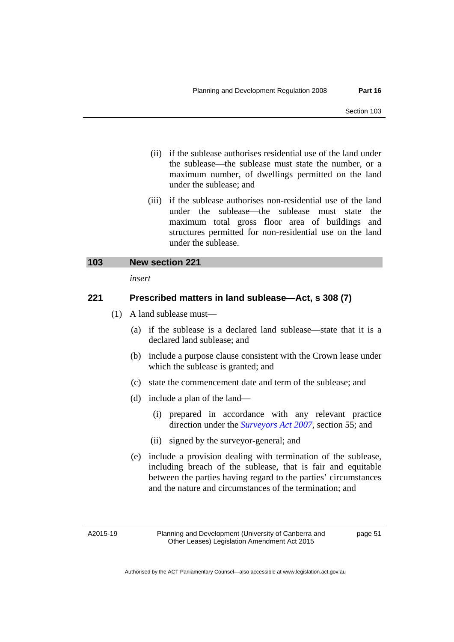- (ii) if the sublease authorises residential use of the land under the sublease—the sublease must state the number, or a maximum number, of dwellings permitted on the land under the sublease; and
- (iii) if the sublease authorises non-residential use of the land under the sublease—the sublease must state the maximum total gross floor area of buildings and structures permitted for non-residential use on the land under the sublease.

# **103 New section 221**

*insert* 

# **221 Prescribed matters in land sublease—Act, s 308 (7)**

- (1) A land sublease must—
	- (a) if the sublease is a declared land sublease—state that it is a declared land sublease; and
	- (b) include a purpose clause consistent with the Crown lease under which the sublease is granted; and
	- (c) state the commencement date and term of the sublease; and
	- (d) include a plan of the land—
		- (i) prepared in accordance with any relevant practice direction under the *[Surveyors Act 2007](http://www.legislation.act.gov.au/a/2007-33)*, section 55; and
		- (ii) signed by the surveyor-general; and
	- (e) include a provision dealing with termination of the sublease, including breach of the sublease, that is fair and equitable between the parties having regard to the parties' circumstances and the nature and circumstances of the termination; and

A2015-19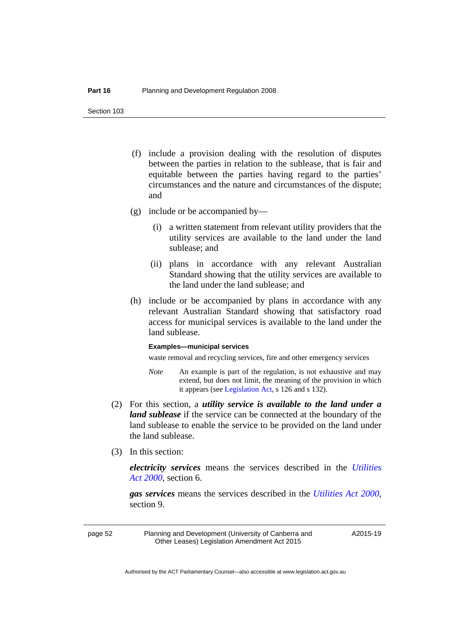- (f) include a provision dealing with the resolution of disputes between the parties in relation to the sublease, that is fair and equitable between the parties having regard to the parties' circumstances and the nature and circumstances of the dispute; and
- (g) include or be accompanied by—
	- (i) a written statement from relevant utility providers that the utility services are available to the land under the land sublease; and
	- (ii) plans in accordance with any relevant Australian Standard showing that the utility services are available to the land under the land sublease; and
- (h) include or be accompanied by plans in accordance with any relevant Australian Standard showing that satisfactory road access for municipal services is available to the land under the land sublease.

#### **Examples—municipal services**

waste removal and recycling services, fire and other emergency services

- *Note* An example is part of the regulation, is not exhaustive and may extend, but does not limit, the meaning of the provision in which it appears (see [Legislation Act,](http://www.legislation.act.gov.au/a/2001-14) s 126 and s 132).
- (2) For this section, a *utility service is available to the land under a land sublease* if the service can be connected at the boundary of the land sublease to enable the service to be provided on the land under the land sublease.
- (3) In this section:

*electricity services* means the services described in the *[Utilities](http://www.legislation.act.gov.au/a/2000-65)  [Act 2000](http://www.legislation.act.gov.au/a/2000-65)*, section 6.

*gas services* means the services described in the *[Utilities Act 2000](http://www.legislation.act.gov.au/a/2000-65)*, section 9.

page 52 Planning and Development (University of Canberra and Other Leases) Legislation Amendment Act 2015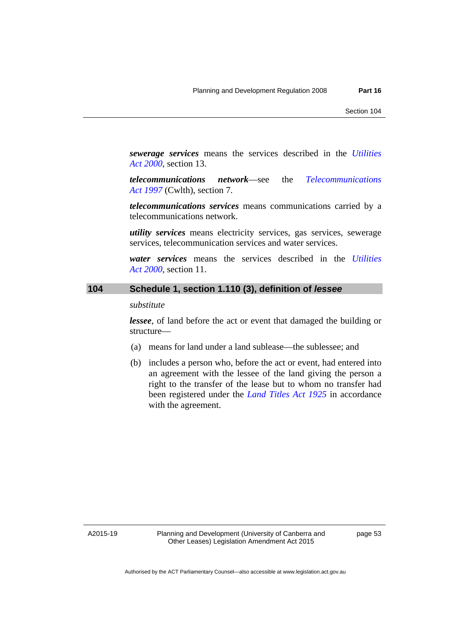*sewerage services* means the services described in the *[Utilities](http://www.legislation.act.gov.au/a/2000-65)  [Act 2000](http://www.legislation.act.gov.au/a/2000-65)*, section 13.

*telecommunications network*—see the *[Telecommunications](http://www.comlaw.gov.au/Series/C2004A05145)  [Act 1997](http://www.comlaw.gov.au/Series/C2004A05145)* (Cwlth), section 7.

*telecommunications services* means communications carried by a telecommunications network.

*utility services* means electricity services, gas services, sewerage services, telecommunication services and water services.

*water services* means the services described in the *[Utilities](http://www.legislation.act.gov.au/a/2000-65)  [Act 2000](http://www.legislation.act.gov.au/a/2000-65)*, section 11.

# **104 Schedule 1, section 1.110 (3), definition of** *lessee*

#### *substitute*

*lessee*, of land before the act or event that damaged the building or structure—

- (a) means for land under a land sublease—the sublessee; and
- (b) includes a person who, before the act or event, had entered into an agreement with the lessee of the land giving the person a right to the transfer of the lease but to whom no transfer had been registered under the *[Land Titles Act 1925](http://www.legislation.act.gov.au/a/1925-1)* in accordance with the agreement.

A2015-19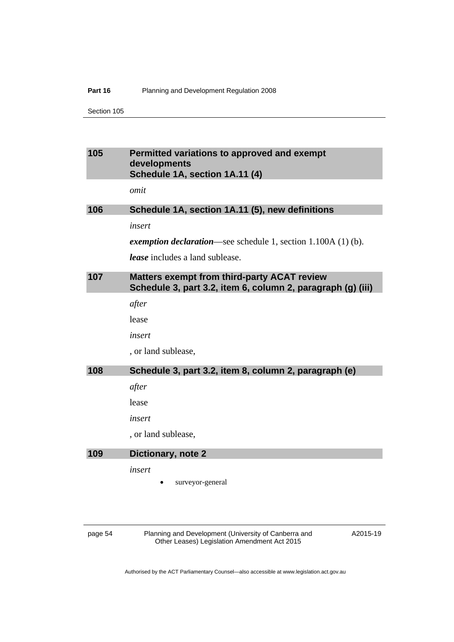#### **Part 16** Planning and Development Regulation 2008

Section 105

# **105 Permitted variations to approved and exempt developments Schedule 1A, section 1A.11 (4)**

*omit* 

# **106 Schedule 1A, section 1A.11 (5), new definitions**

*insert* 

*exemption declaration*—see schedule 1, section 1.100A (1) (b).

*lease* includes a land sublease.

# **107 Matters exempt from third-party ACAT review Schedule 3, part 3.2, item 6, column 2, paragraph (g) (iii)**

*after* 

lease

*insert* 

, or land sublease,

#### **108 Schedule 3, part 3.2, item 8, column 2, paragraph (e)**

*after* 

lease

*insert* 

, or land sublease,

#### **109 Dictionary, note 2**

*insert* 

surveyor-general

page 54 Planning and Development (University of Canberra and Other Leases) Legislation Amendment Act 2015

A2015-19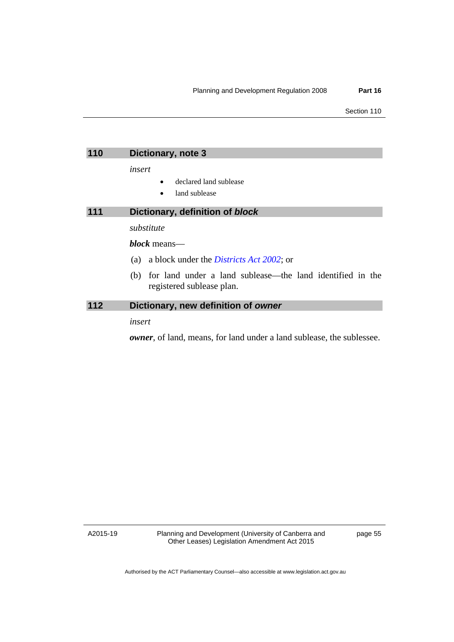| 110 | Dictionary, note 3                                                                         |
|-----|--------------------------------------------------------------------------------------------|
|     | insert                                                                                     |
|     | declared land sublease                                                                     |
|     | land sublease                                                                              |
| 111 | Dictionary, definition of block                                                            |
|     | substitute                                                                                 |
|     | <i>block</i> means—                                                                        |
|     | a block under the <i>Districts Act 2002</i> ; or<br>(a)                                    |
|     | (b) for land under a land sublease—the land identified in the<br>registered sublease plan. |
| 112 | Dictionary, new definition of owner                                                        |
|     | insert                                                                                     |

*owner*, of land, means, for land under a land sublease, the sublessee.

A2015-19

Planning and Development (University of Canberra and Other Leases) Legislation Amendment Act 2015

page 55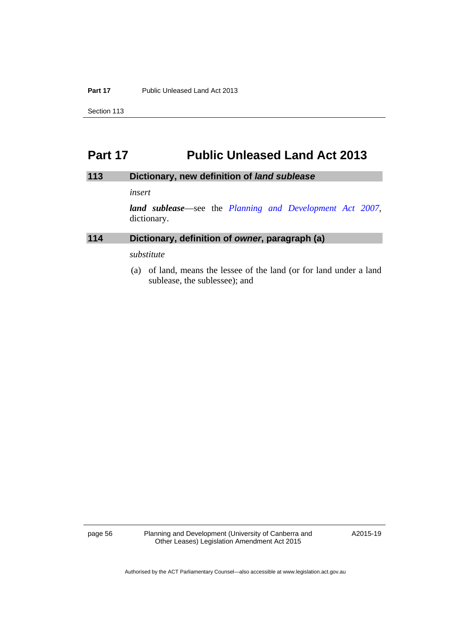#### **Part 17** Public Unleased Land Act 2013

Section 113

# **Part 17 Public Unleased Land Act 2013**

## **113 Dictionary, new definition of** *land sublease*

*insert* 

*land sublease*—see the *[Planning and Development Act 2007](http://www.legislation.act.gov.au/a/2007-24)*, dictionary.

# **114 Dictionary, definition of** *owner***, paragraph (a)**

*substitute* 

 (a) of land, means the lessee of the land (or for land under a land sublease, the sublessee); and

page 56 Planning and Development (University of Canberra and Other Leases) Legislation Amendment Act 2015

A2015-19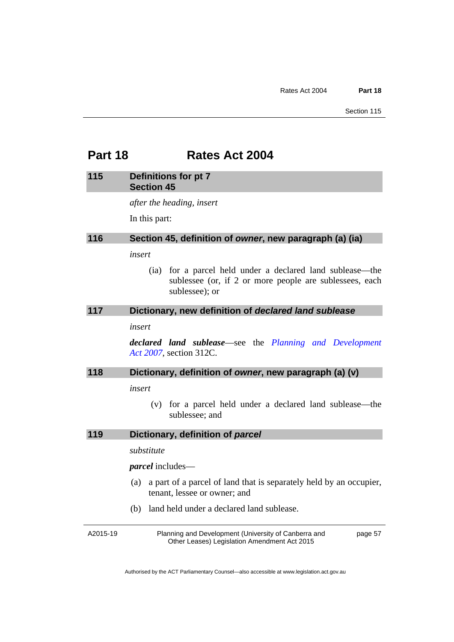# **Part 18 Rates Act 2004**

#### **115 Definitions for pt 7 Section 45**

*after the heading, insert* 

In this part:

# **116 Section 45, definition of** *owner***, new paragraph (a) (ia)**

*insert* 

 (ia) for a parcel held under a declared land sublease—the sublessee (or, if 2 or more people are sublessees, each sublessee); or

#### **117 Dictionary, new definition of** *declared land sublease*

*insert* 

*declared land sublease*—see the *[Planning and Development](http://www.legislation.act.gov.au/a/2007-24)  [Act 2007](http://www.legislation.act.gov.au/a/2007-24)*, section 312C.

## **118 Dictionary, definition of** *owner***, new paragraph (a) (v)**

*insert* 

 (v) for a parcel held under a declared land sublease—the sublessee; and

## **119 Dictionary, definition of** *parcel*

*substitute* 

*parcel* includes—

- (a) a part of a parcel of land that is separately held by an occupier, tenant, lessee or owner; and
- (b) land held under a declared land sublease.

A2015-19 Planning and Development (University of Canberra and Other Leases) Legislation Amendment Act 2015 page 57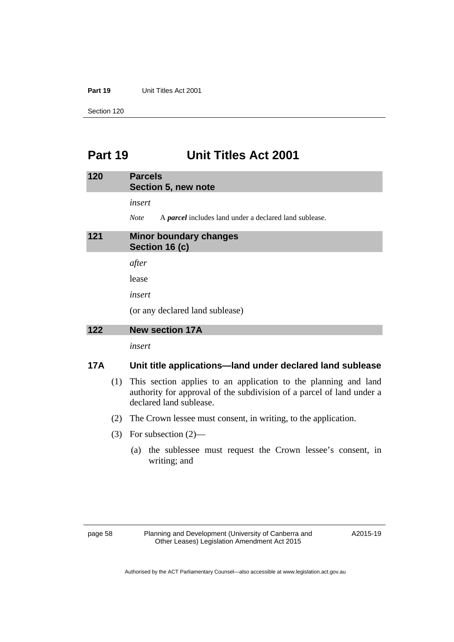### **Part 19** Unit Titles Act 2001

Section 120

# **Part 19 Unit Titles Act 2001**

| 120 | <b>Parcels</b><br>Section 5, new note                                                  |
|-----|----------------------------------------------------------------------------------------|
|     | insert<br><b>Note</b><br>A <i>parcel</i> includes land under a declared land sublease. |
| 121 | <b>Minor boundary changes</b><br>Section 16 (c)                                        |
|     | after                                                                                  |
|     | lease                                                                                  |
|     | insert                                                                                 |
|     | (or any declared land sublease)                                                        |
| ה ה |                                                                                        |

### **122 New section 17A**

*insert* 

# **17A Unit title applications—land under declared land sublease**

- (1) This section applies to an application to the planning and land authority for approval of the subdivision of a parcel of land under a declared land sublease.
- (2) The Crown lessee must consent, in writing, to the application.
- (3) For subsection (2)—
	- (a) the sublessee must request the Crown lessee's consent, in writing; and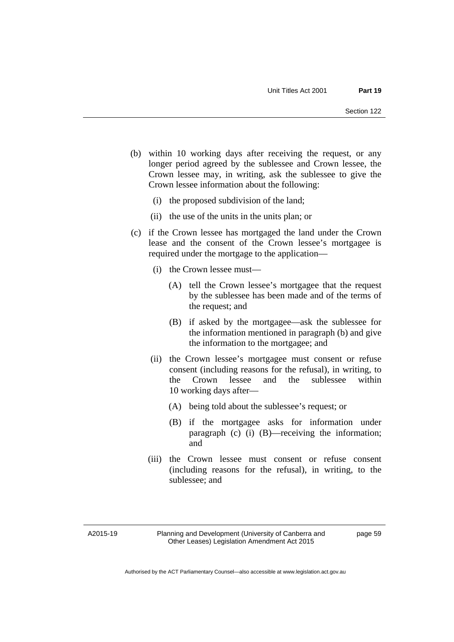- (b) within 10 working days after receiving the request, or any longer period agreed by the sublessee and Crown lessee, the Crown lessee may, in writing, ask the sublessee to give the Crown lessee information about the following:
	- (i) the proposed subdivision of the land;
	- (ii) the use of the units in the units plan; or
- (c) if the Crown lessee has mortgaged the land under the Crown lease and the consent of the Crown lessee's mortgagee is required under the mortgage to the application—
	- (i) the Crown lessee must—
		- (A) tell the Crown lessee's mortgagee that the request by the sublessee has been made and of the terms of the request; and
		- (B) if asked by the mortgagee—ask the sublessee for the information mentioned in paragraph (b) and give the information to the mortgagee; and
	- (ii) the Crown lessee's mortgagee must consent or refuse consent (including reasons for the refusal), in writing, to the Crown lessee and the sublessee within 10 working days after—
		- (A) being told about the sublessee's request; or
		- (B) if the mortgagee asks for information under paragraph (c) (i) (B)—receiving the information; and
	- (iii) the Crown lessee must consent or refuse consent (including reasons for the refusal), in writing, to the sublessee; and

A2015-19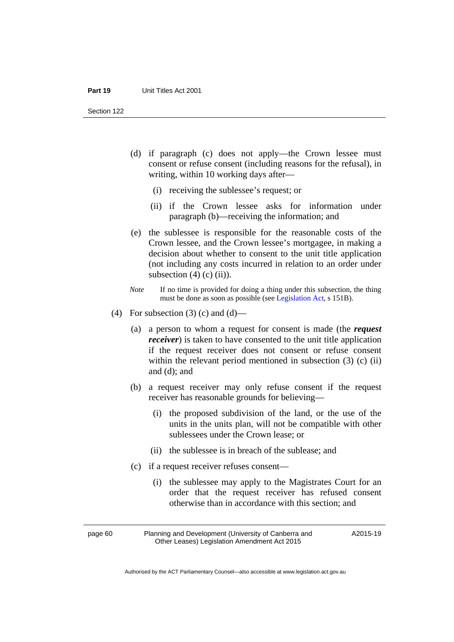- (d) if paragraph (c) does not apply—the Crown lessee must consent or refuse consent (including reasons for the refusal), in writing, within 10 working days after—
	- (i) receiving the sublessee's request; or
	- (ii) if the Crown lessee asks for information under paragraph (b)—receiving the information; and
- (e) the sublessee is responsible for the reasonable costs of the Crown lessee, and the Crown lessee's mortgagee, in making a decision about whether to consent to the unit title application (not including any costs incurred in relation to an order under subsection  $(4)$  (c) (ii)).
- *Note* If no time is provided for doing a thing under this subsection, the thing must be done as soon as possible (see [Legislation Act,](http://www.legislation.act.gov.au/a/2001-14) s 151B).
- (4) For subsection (3) (c) and (d)—
	- (a) a person to whom a request for consent is made (the *request receiver*) is taken to have consented to the unit title application if the request receiver does not consent or refuse consent within the relevant period mentioned in subsection (3) (c) (ii) and (d); and
	- (b) a request receiver may only refuse consent if the request receiver has reasonable grounds for believing—
		- (i) the proposed subdivision of the land, or the use of the units in the units plan, will not be compatible with other sublessees under the Crown lease; or
		- (ii) the sublessee is in breach of the sublease; and
	- (c) if a request receiver refuses consent—
		- (i) the sublessee may apply to the Magistrates Court for an order that the request receiver has refused consent otherwise than in accordance with this section; and

page 60 Planning and Development (University of Canberra and Other Leases) Legislation Amendment Act 2015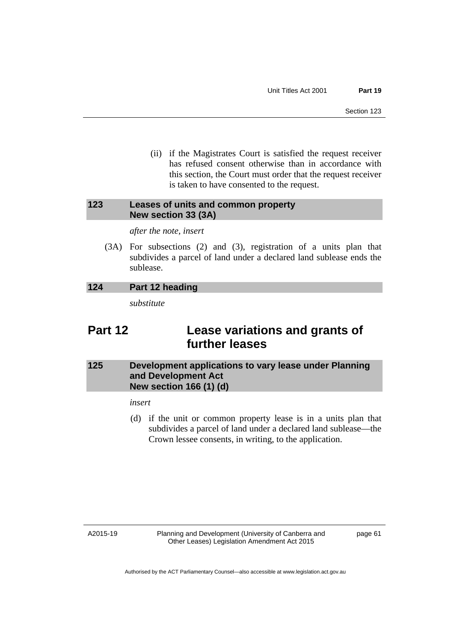(ii) if the Magistrates Court is satisfied the request receiver has refused consent otherwise than in accordance with this section, the Court must order that the request receiver is taken to have consented to the request.

# **123 Leases of units and common property New section 33 (3A)**

*after the note, insert* 

 (3A) For subsections (2) and (3), registration of a units plan that subdivides a parcel of land under a declared land sublease ends the sublease.

# **124 Part 12 heading**

*substitute* 

# **Part 12 Lease variations and grants of further leases**

# **125 Development applications to vary lease under Planning and Development Act New section 166 (1) (d)**

# *insert*

 (d) if the unit or common property lease is in a units plan that subdivides a parcel of land under a declared land sublease—the Crown lessee consents, in writing, to the application.

A2015-19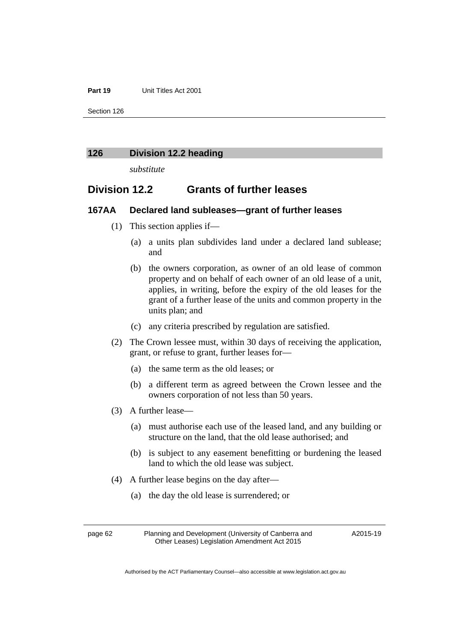#### **Part 19** Unit Titles Act 2001

Section 126

#### **126 Division 12.2 heading**

*substitute* 

# **Division 12.2 Grants of further leases**

# **167AA Declared land subleases—grant of further leases**

- (1) This section applies if—
	- (a) a units plan subdivides land under a declared land sublease; and
	- (b) the owners corporation, as owner of an old lease of common property and on behalf of each owner of an old lease of a unit, applies, in writing, before the expiry of the old leases for the grant of a further lease of the units and common property in the units plan; and
	- (c) any criteria prescribed by regulation are satisfied.
- (2) The Crown lessee must, within 30 days of receiving the application, grant, or refuse to grant, further leases for—
	- (a) the same term as the old leases; or
	- (b) a different term as agreed between the Crown lessee and the owners corporation of not less than 50 years.
- (3) A further lease—
	- (a) must authorise each use of the leased land, and any building or structure on the land, that the old lease authorised; and
	- (b) is subject to any easement benefitting or burdening the leased land to which the old lease was subject.
- (4) A further lease begins on the day after—
	- (a) the day the old lease is surrendered; or

page 62 Planning and Development (University of Canberra and Other Leases) Legislation Amendment Act 2015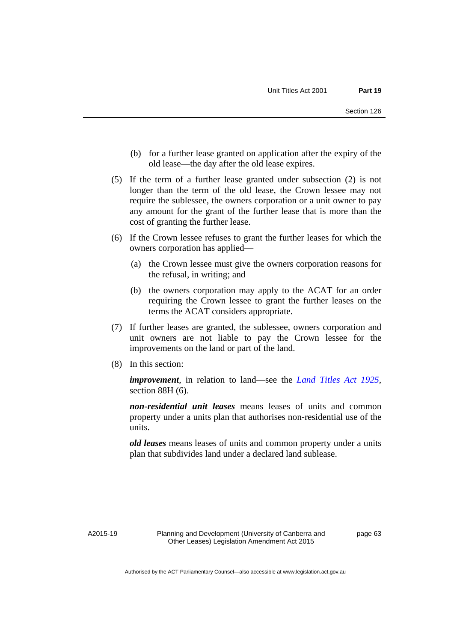- (b) for a further lease granted on application after the expiry of the old lease—the day after the old lease expires.
- (5) If the term of a further lease granted under subsection (2) is not longer than the term of the old lease, the Crown lessee may not require the sublessee, the owners corporation or a unit owner to pay any amount for the grant of the further lease that is more than the cost of granting the further lease.
- (6) If the Crown lessee refuses to grant the further leases for which the owners corporation has applied—
	- (a) the Crown lessee must give the owners corporation reasons for the refusal, in writing; and
	- (b) the owners corporation may apply to the ACAT for an order requiring the Crown lessee to grant the further leases on the terms the ACAT considers appropriate.
- (7) If further leases are granted, the sublessee, owners corporation and unit owners are not liable to pay the Crown lessee for the improvements on the land or part of the land.
- (8) In this section:

*improvement*, in relation to land—see the *[Land Titles Act 1925](http://www.legislation.act.gov.au/a/1925-1)*, section 88H (6).

*non-residential unit leases* means leases of units and common property under a units plan that authorises non-residential use of the units.

*old leases* means leases of units and common property under a units plan that subdivides land under a declared land sublease.

A2015-19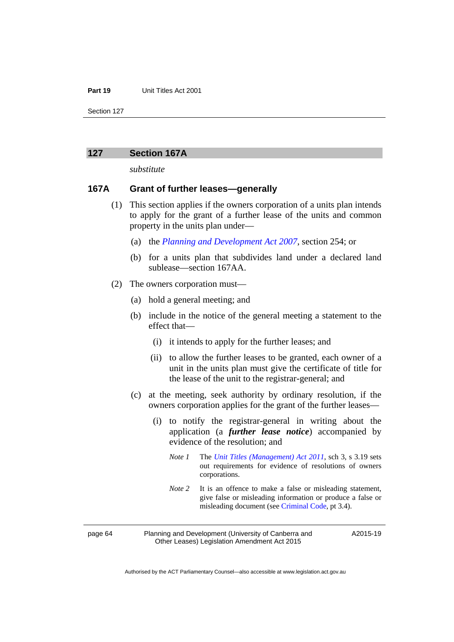#### **Part 19** Unit Titles Act 2001

Section 127

### **127 Section 167A**

*substitute* 

# **167A Grant of further leases—generally**

- (1) This section applies if the owners corporation of a units plan intends to apply for the grant of a further lease of the units and common property in the units plan under—
	- (a) the *[Planning and Development Act 2007](http://www.legislation.act.gov.au/a/2007-24)*, section 254; or
	- (b) for a units plan that subdivides land under a declared land sublease—section 167AA.
- (2) The owners corporation must—
	- (a) hold a general meeting; and
	- (b) include in the notice of the general meeting a statement to the effect that—
		- (i) it intends to apply for the further leases; and
		- (ii) to allow the further leases to be granted, each owner of a unit in the units plan must give the certificate of title for the lease of the unit to the registrar-general; and
	- (c) at the meeting, seek authority by ordinary resolution, if the owners corporation applies for the grant of the further leases—
		- (i) to notify the registrar-general in writing about the application (a *further lease notice*) accompanied by evidence of the resolution; and
			- *Note 1* The *[Unit Titles \(Management\) Act 2011](http://www.legislation.act.gov.au/a/2011-41)*, sch 3, s 3.19 sets out requirements for evidence of resolutions of owners corporations.
			- *Note* 2 It is an offence to make a false or misleading statement, give false or misleading information or produce a false or misleading document (see [Criminal Code](http://www.legislation.act.gov.au/a/2002-51), pt 3.4).

page 64 Planning and Development (University of Canberra and Other Leases) Legislation Amendment Act 2015

A2015-19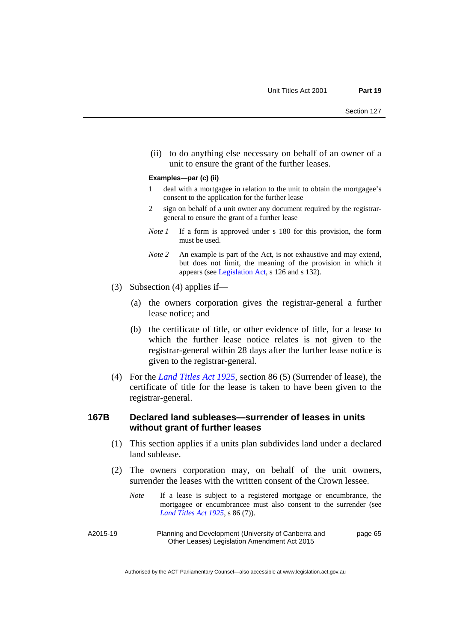(ii) to do anything else necessary on behalf of an owner of a unit to ensure the grant of the further leases.

#### **Examples—par (c) (ii)**

- 1 deal with a mortgagee in relation to the unit to obtain the mortgagee's consent to the application for the further lease
- 2 sign on behalf of a unit owner any document required by the registrargeneral to ensure the grant of a further lease
- *Note 1* If a form is approved under s 180 for this provision, the form must be used.
- *Note* 2 An example is part of the Act, is not exhaustive and may extend, but does not limit, the meaning of the provision in which it appears (see [Legislation Act,](http://www.legislation.act.gov.au/a/2001-14) s 126 and s 132).
- (3) Subsection (4) applies if—
	- (a) the owners corporation gives the registrar-general a further lease notice; and
	- (b) the certificate of title, or other evidence of title, for a lease to which the further lease notice relates is not given to the registrar-general within 28 days after the further lease notice is given to the registrar-general.
- (4) For the *[Land Titles Act 1925](http://www.legislation.act.gov.au/a/1925-1)*, section 86 (5) (Surrender of lease), the certificate of title for the lease is taken to have been given to the registrar-general.

# **167B Declared land subleases—surrender of leases in units without grant of further leases**

- (1) This section applies if a units plan subdivides land under a declared land sublease.
- (2) The owners corporation may, on behalf of the unit owners, surrender the leases with the written consent of the Crown lessee.
	- *Note* If a lease is subject to a registered mortgage or encumbrance, the mortgagee or encumbrancee must also consent to the surrender (see *[Land Titles Act 1925](http://www.legislation.act.gov.au/a/1925-1)*, s 86 (7)).

A2015-19 Planning and Development (University of Canberra and Other Leases) Legislation Amendment Act 2015 page 65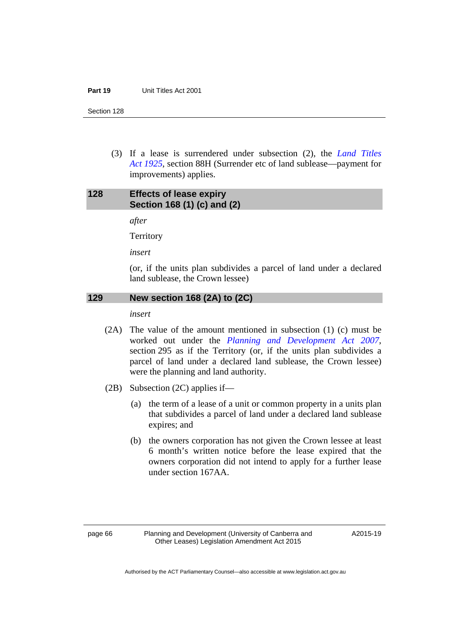Section 128

 (3) If a lease is surrendered under subsection (2), the *[Land Titles](http://www.legislation.act.gov.au/a/1925-1)  [Act 1925](http://www.legislation.act.gov.au/a/1925-1)*, section 88H (Surrender etc of land sublease—payment for improvements) applies.

# **128 Effects of lease expiry Section 168 (1) (c) and (2)**

*after* 

**Territory** 

*insert* 

(or, if the units plan subdivides a parcel of land under a declared land sublease, the Crown lessee)

# **129 New section 168 (2A) to (2C)**

*insert* 

- (2A) The value of the amount mentioned in subsection (1) (c) must be worked out under the *[Planning and Development Act 2007](http://www.legislation.act.gov.au/a/2007-24)*, section 295 as if the Territory (or, if the units plan subdivides a parcel of land under a declared land sublease, the Crown lessee) were the planning and land authority.
- (2B) Subsection (2C) applies if—
	- (a) the term of a lease of a unit or common property in a units plan that subdivides a parcel of land under a declared land sublease expires; and
	- (b) the owners corporation has not given the Crown lessee at least 6 month's written notice before the lease expired that the owners corporation did not intend to apply for a further lease under section 167AA.

A2015-19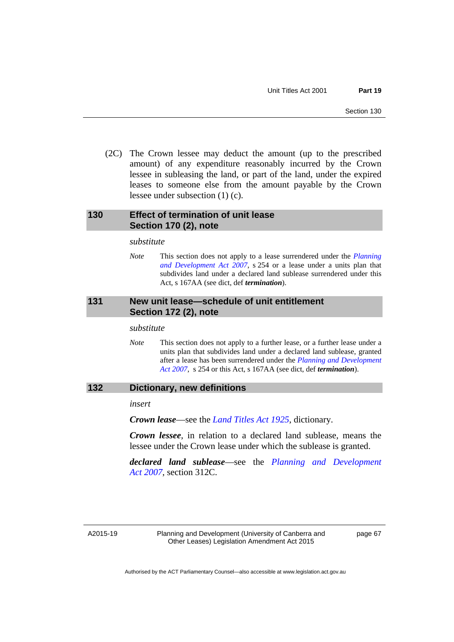(2C) The Crown lessee may deduct the amount (up to the prescribed amount) of any expenditure reasonably incurred by the Crown lessee in subleasing the land, or part of the land, under the expired leases to someone else from the amount payable by the Crown lessee under subsection (1) (c).

# **130 Effect of termination of unit lease Section 170 (2), note**

*substitute* 

*Note* This section does not apply to a lease surrendered under the *[Planning](http://www.legislation.act.gov.au/a/2007-24)  [and Development Act 2007](http://www.legislation.act.gov.au/a/2007-24)*, s 254 or a lease under a units plan that subdivides land under a declared land sublease surrendered under this Act, s 167AA (see dict, def *termination*).

# **131 New unit lease—schedule of unit entitlement Section 172 (2), note**

#### *substitute*

*Note* This section does not apply to a further lease, or a further lease under a units plan that subdivides land under a declared land sublease, granted after a lease has been surrendered under the *[Planning and Development](http://www.legislation.act.gov.au/a/2007-24)  [Act 2007](http://www.legislation.act.gov.au/a/2007-24)*, s 254 or this Act, s 167AA (see dict, def *termination*).

## **132 Dictionary, new definitions**

*insert* 

*Crown lease*—see the *[Land Titles Act 1925](http://www.legislation.act.gov.au/a/1925-1)*, dictionary.

*Crown lessee*, in relation to a declared land sublease, means the lessee under the Crown lease under which the sublease is granted.

*declared land sublease*—see the *[Planning and Development](http://www.legislation.act.gov.au/a/2007-24)  [Act 2007](http://www.legislation.act.gov.au/a/2007-24)*, section 312C.

A2015-19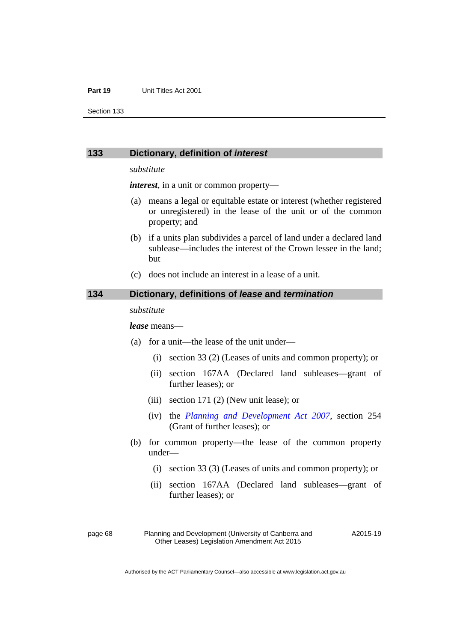#### **Part 19** Unit Titles Act 2001

Section 133

## **133 Dictionary, definition of** *interest*

#### *substitute*

*interest*, in a unit or common property—

- (a) means a legal or equitable estate or interest (whether registered or unregistered) in the lease of the unit or of the common property; and
- (b) if a units plan subdivides a parcel of land under a declared land sublease—includes the interest of the Crown lessee in the land; but
- (c) does not include an interest in a lease of a unit.

#### **134 Dictionary, definitions of** *lease* **and** *termination*

#### *substitute*

#### *lease* means—

- (a) for a unit—the lease of the unit under—
	- (i) section 33 (2) (Leases of units and common property); or
	- (ii) section 167AA (Declared land subleases—grant of further leases); or
	- (iii) section 171 (2) (New unit lease); or
	- (iv) the *[Planning and Development Act 2007](http://www.legislation.act.gov.au/a/2007-24)*, section 254 (Grant of further leases); or
- (b) for common property—the lease of the common property under—
	- (i) section 33 (3) (Leases of units and common property); or
	- (ii) section 167AA (Declared land subleases—grant of further leases); or

page 68 Planning and Development (University of Canberra and Other Leases) Legislation Amendment Act 2015

A2015-19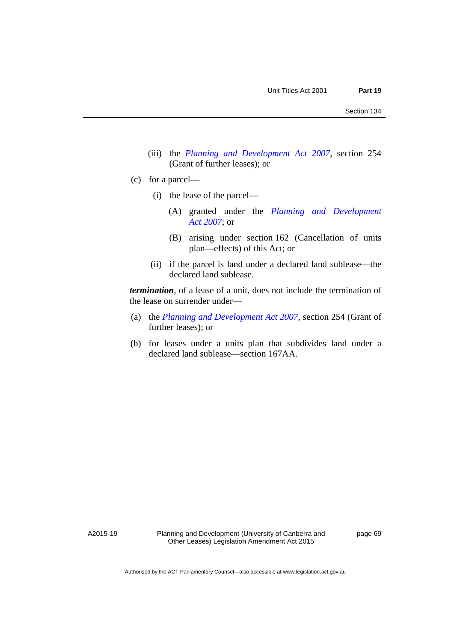- (iii) the *[Planning and Development Act 2007](http://www.legislation.act.gov.au/a/2007-24)*, section 254 (Grant of further leases); or
- (c) for a parcel—
	- (i) the lease of the parcel—
		- (A) granted under the *[Planning and Development](http://www.legislation.act.gov.au/a/2007-24)  [Act 2007](http://www.legislation.act.gov.au/a/2007-24)*; or
		- (B) arising under section 162 (Cancellation of units plan—effects) of this Act; or
	- (ii) if the parcel is land under a declared land sublease—the declared land sublease.

*termination*, of a lease of a unit, does not include the termination of the lease on surrender under—

- (a) the *[Planning and Development Act 2007](http://www.legislation.act.gov.au/a/2007-24)*, section 254 (Grant of further leases); or
- (b) for leases under a units plan that subdivides land under a declared land sublease—section 167AA.

A2015-19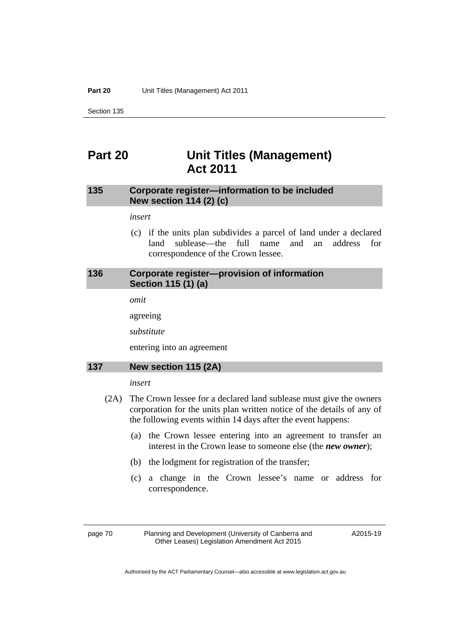**Part 20** Unit Titles (Management) Act 2011

Section 135

# **Part 20 Unit Titles (Management) Act 2011**

# **135 Corporate register—information to be included New section 114 (2) (c)**

## *insert*

 (c) if the units plan subdivides a parcel of land under a declared land sublease—the full name and an address for correspondence of the Crown lessee.

# **136 Corporate register—provision of information Section 115 (1) (a)**

*omit* 

agreeing

*substitute* 

entering into an agreement

## **137 New section 115 (2A)**

### *insert*

- (2A) The Crown lessee for a declared land sublease must give the owners corporation for the units plan written notice of the details of any of the following events within 14 days after the event happens:
	- (a) the Crown lessee entering into an agreement to transfer an interest in the Crown lease to someone else (the *new owner*);
	- (b) the lodgment for registration of the transfer;
	- (c) a change in the Crown lessee's name or address for correspondence.

page 70 Planning and Development (University of Canberra and Other Leases) Legislation Amendment Act 2015

A2015-19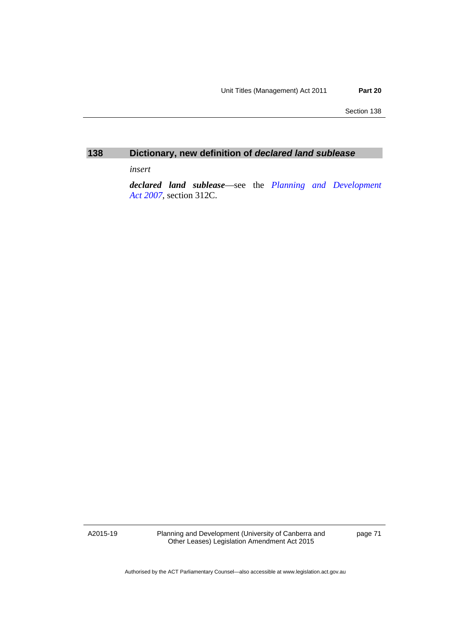Section 138

# **138 Dictionary, new definition of** *declared land sublease*

*insert* 

*declared land sublease*—see the *[Planning and Development](http://www.legislation.act.gov.au/a/2007-24)  [Act 2007](http://www.legislation.act.gov.au/a/2007-24)*, section 312C.

A2015-19

Planning and Development (University of Canberra and Other Leases) Legislation Amendment Act 2015

page 71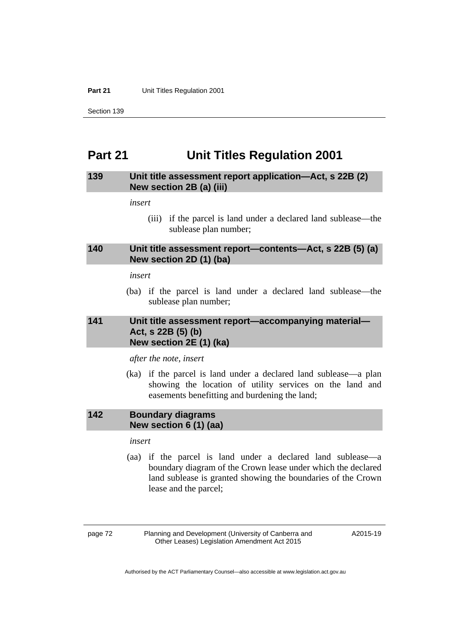**Part 21** Unit Titles Regulation 2001

Section 139

# **Part 21 Unit Titles Regulation 2001**

## **139 Unit title assessment report application—Act, s 22B (2) New section 2B (a) (iii)**

*insert* 

 (iii) if the parcel is land under a declared land sublease—the sublease plan number;

## **140 Unit title assessment report—contents—Act, s 22B (5) (a) New section 2D (1) (ba)**

#### *insert*

 (ba) if the parcel is land under a declared land sublease—the sublease plan number;

# **141 Unit title assessment report—accompanying material— Act, s 22B (5) (b) New section 2E (1) (ka)**

*after the note, insert* 

 (ka) if the parcel is land under a declared land sublease—a plan showing the location of utility services on the land and easements benefitting and burdening the land;

## **142 Boundary diagrams New section 6 (1) (aa)**

*insert* 

 (aa) if the parcel is land under a declared land sublease—a boundary diagram of the Crown lease under which the declared land sublease is granted showing the boundaries of the Crown lease and the parcel;

page 72 Planning and Development (University of Canberra and Other Leases) Legislation Amendment Act 2015

A2015-19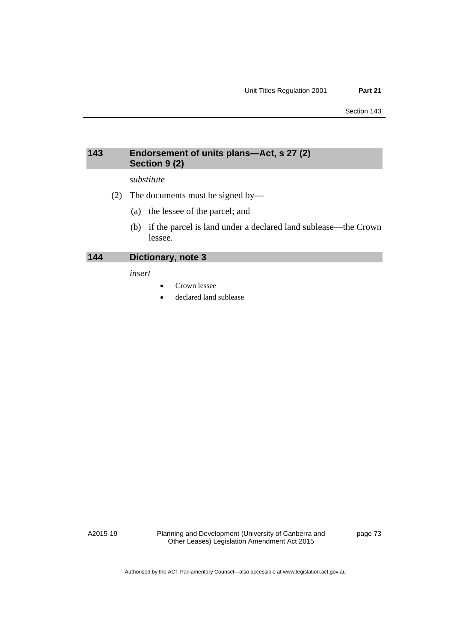# **143 Endorsement of units plans—Act, s 27 (2) Section 9 (2)**

# *substitute*

- (2) The documents must be signed by—
	- (a) the lessee of the parcel; and
	- (b) if the parcel is land under a declared land sublease—the Crown lessee.

**144 Dictionary, note 3** 

*insert* 

- Crown lessee
- declared land sublease

A2015-19

Planning and Development (University of Canberra and Other Leases) Legislation Amendment Act 2015

page 73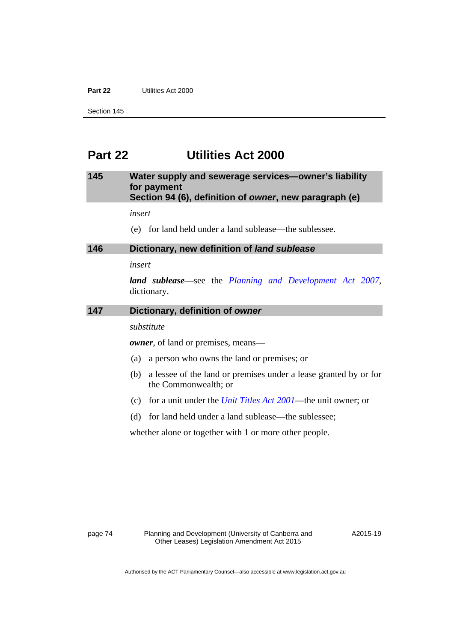### **Part 22** Utilities Act 2000

Section 145

# **Part 22 Utilities Act 2000**

# **145 Water supply and sewerage services—owner's liability for payment Section 94 (6), definition of** *owner***, new paragraph (e)**

*insert* 

(e) for land held under a land sublease—the sublessee.

### **146 Dictionary, new definition of** *land sublease*

# *insert*

*land sublease*—see the *[Planning and Development Act 2007](http://www.legislation.act.gov.au/a/2007-24)*, dictionary.

#### **147 Dictionary, definition of** *owner*

#### *substitute*

*owner*, of land or premises, means—

- (a) a person who owns the land or premises; or
- (b) a lessee of the land or premises under a lease granted by or for the Commonwealth; or
- (c) for a unit under the *[Unit Titles Act 2001](http://www.legislation.act.gov.au/a/2001-16)*—the unit owner; or
- (d) for land held under a land sublease—the sublessee;

whether alone or together with 1 or more other people.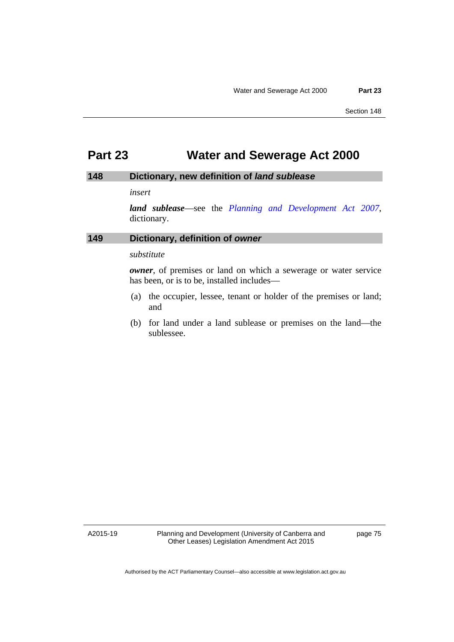# **Part 23 Water and Sewerage Act 2000**

# **148 Dictionary, new definition of** *land sublease*

## *insert*

*land sublease*—see the *[Planning and Development Act 2007](http://www.legislation.act.gov.au/a/2007-24)*, dictionary.

# **149 Dictionary, definition of** *owner*

## *substitute*

*owner*, of premises or land on which a sewerage or water service has been, or is to be, installed includes—

- (a) the occupier, lessee, tenant or holder of the premises or land; and
- (b) for land under a land sublease or premises on the land—the sublessee.

A2015-19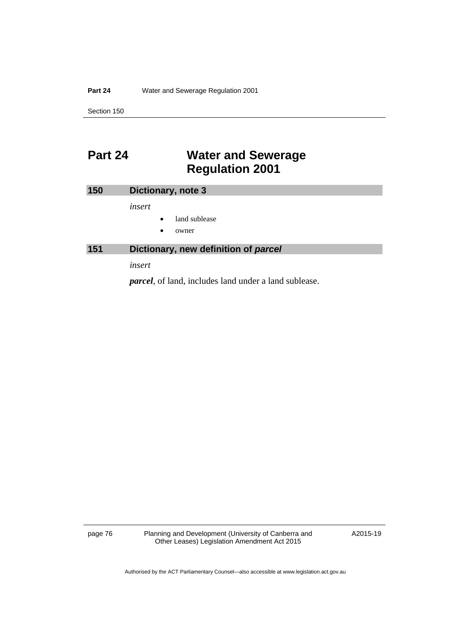### **Part 24** Water and Sewerage Regulation 2001

Section 150

# **Part 24 Water and Sewerage Regulation 2001**

| <b>150</b> | Dictionary, note 3                   |
|------------|--------------------------------------|
|            | insert                               |
|            | land sublease<br>$\bullet$           |
|            | $\bullet$<br>owner                   |
| 151        | Dictionary, new definition of parcel |
|            | insert                               |

*parcel*, of land, includes land under a land sublease.

page 76 Planning and Development (University of Canberra and Other Leases) Legislation Amendment Act 2015

A2015-19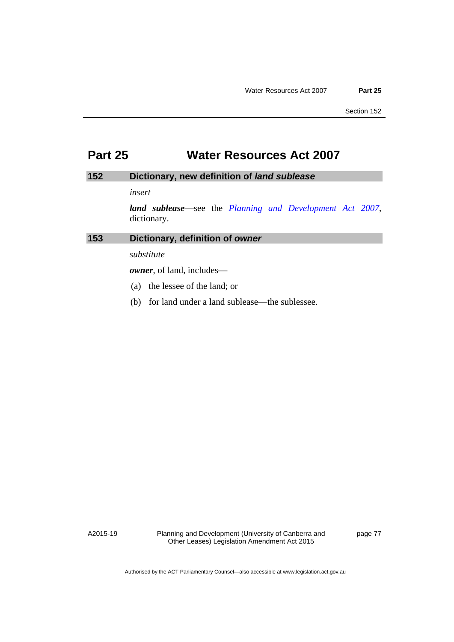# **Part 25 Water Resources Act 2007**

# **152 Dictionary, new definition of** *land sublease*

## *insert*

*land sublease*—see the *[Planning and Development Act 2007](http://www.legislation.act.gov.au/a/2007-24)*, dictionary.

# **153 Dictionary, definition of** *owner*

## *substitute*

*owner*, of land, includes—

- (a) the lessee of the land; or
- (b) for land under a land sublease—the sublessee.

A2015-19

Planning and Development (University of Canberra and Other Leases) Legislation Amendment Act 2015